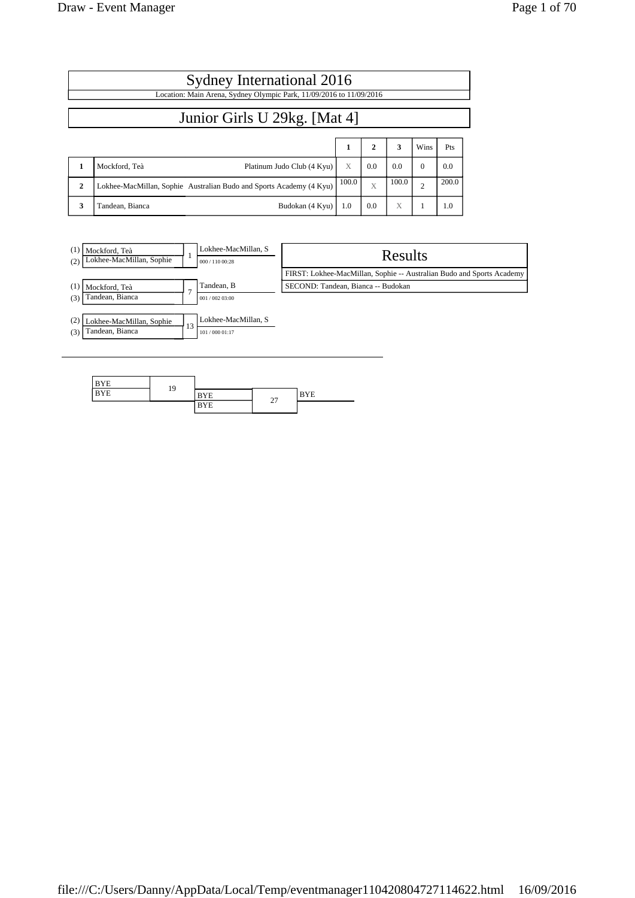| Sydney International 2016                                           |                                                                     |       |              |       |                |       |  |  |
|---------------------------------------------------------------------|---------------------------------------------------------------------|-------|--------------|-------|----------------|-------|--|--|
| Location: Main Arena, Sydney Olympic Park, 11/09/2016 to 11/09/2016 |                                                                     |       |              |       |                |       |  |  |
| Junior Girls U 29kg. [Mat 4]                                        |                                                                     |       |              |       |                |       |  |  |
|                                                                     |                                                                     | 1     | $\mathbf{2}$ | 3     | Wins           | Pts   |  |  |
| 1                                                                   | Mockford, Teà<br>Platinum Judo Club (4 Kyu)                         | X     | 0.0          | 0.0   | $\Omega$       | 0.0   |  |  |
| $\mathbf{2}$                                                        | Lokhee-MacMillan, Sophie Australian Budo and Sports Academy (4 Kyu) | 100.0 | $\bar{X}$    | 100.0 | $\overline{c}$ | 200.0 |  |  |
| 3                                                                   | Tandean, Bianca<br>Budokan (4 Kyu)                                  | 1.0   | 0.0          | X     |                | 1.0   |  |  |



| <b>BYE</b> | 19 |            |        |            |
|------------|----|------------|--------|------------|
| <b>BYE</b> |    | <b>BYE</b> | $\sim$ | <b>BYE</b> |
|            |    | <b>BYE</b> | ا ت    |            |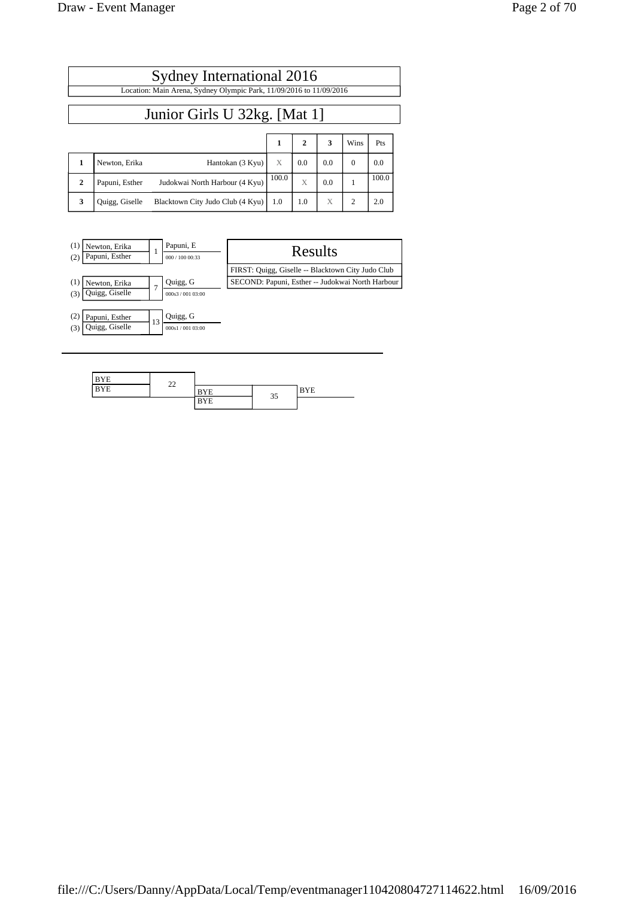| $^{(1)}$<br>Newton, Erika<br>Papuni, Esther<br>(2) |               | Papuni, E<br>000 / 100 00:33 | Results                                           |
|----------------------------------------------------|---------------|------------------------------|---------------------------------------------------|
|                                                    |               |                              | FIRST: Quigg, Giselle -- Blacktown City Judo Club |
| (1)<br>Newton, Erika                               | $\mathcal{I}$ | Quigg, G                     | SECOND: Papuni, Esther -- Judokwai North Harbour  |
| Quigg, Giselle<br>(3)                              |               | 000s3/001 03:00              |                                                   |
| $\scriptstyle{(2)}$<br>Papuni, Esther              |               | Quigg, G                     |                                                   |
| Quigg, Giselle<br>(3)                              | 13            | 000s1/001 03:00              |                                                   |

Sydney International 2016 Location: Main Arena, Sydney Olympic Park, 11/09/2016 to 11/09/2016

Junior Girls U 32kg. [Mat 1]

**1 Newton, Erika** Hantokan (3 Kyu) X 0.0 0.0 0.0 0.0 **2** Papuni, Esther Judokwai North Harbour  $(4 \text{ Kyu})$   $\begin{bmatrix} 100.0 \end{bmatrix}$   $\begin{bmatrix} x \end{bmatrix}$  0.0  $\begin{bmatrix} 1 \end{bmatrix}$  100.0

**3** Quigg, Giselle Blacktown City Judo Club (4 Kyu) 1.0 1.0 X 2 2.0

**1 2 3** Wins Pts

| <b>BYE</b> | $\sim$ |            |    |            |
|------------|--------|------------|----|------------|
| <b>BYE</b> | --     | <b>BYE</b> | 35 | <b>BYE</b> |
|            |        | <b>BYE</b> |    |            |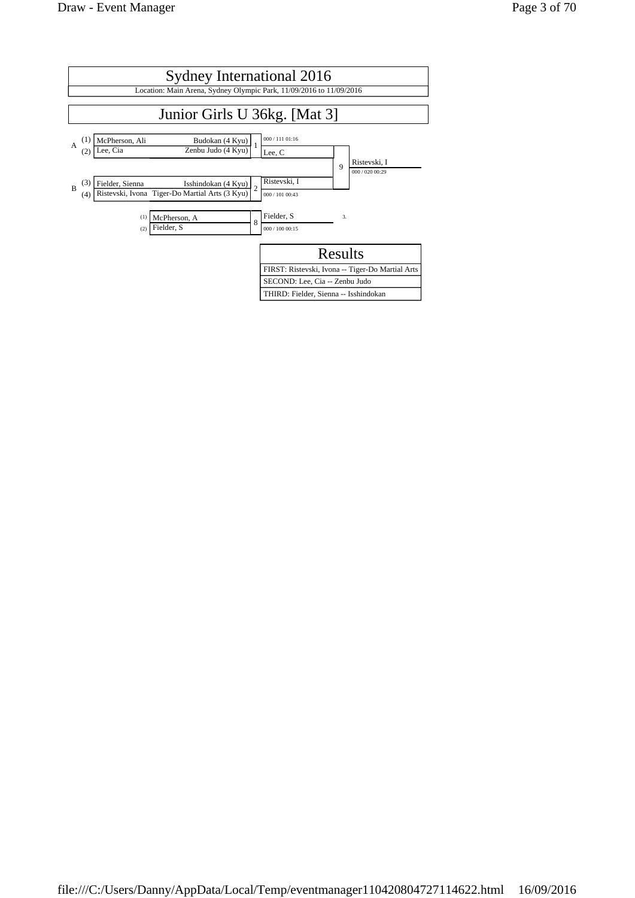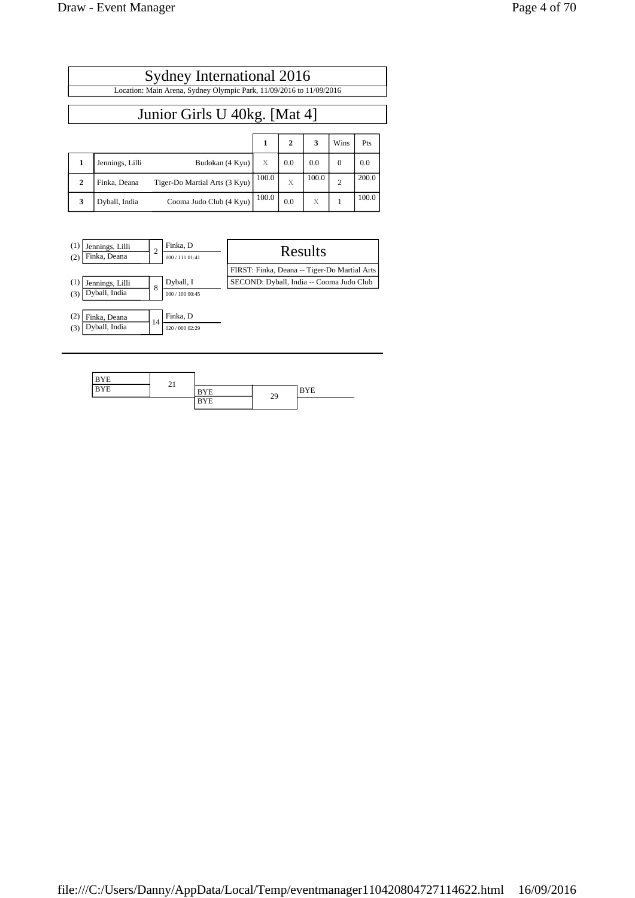| Sydney International 2016                                           |  |
|---------------------------------------------------------------------|--|
| Location: Main Arena, Sydney Olympic Park, 11/09/2016 to 11/09/2016 |  |
|                                                                     |  |

### Junior Girls U 40kg. [Mat 4]

|              |                 |                               |       |     | 3     | Wins | Pts   |
|--------------|-----------------|-------------------------------|-------|-----|-------|------|-------|
|              | Jennings, Lilli | Budokan (4 Kyu)               | X     | 0.0 | 0.0   |      | 0.0   |
| $\mathbf{2}$ | Finka, Deana    | Tiger-Do Martial Arts (3 Kyu) | 100.0 | Х   | 100.0 |      | 200.0 |
| 3            | Dyball, India   | Cooma Judo Club (4 Kyu)       | 100.0 | 0.0 | X     |      | 100.0 |



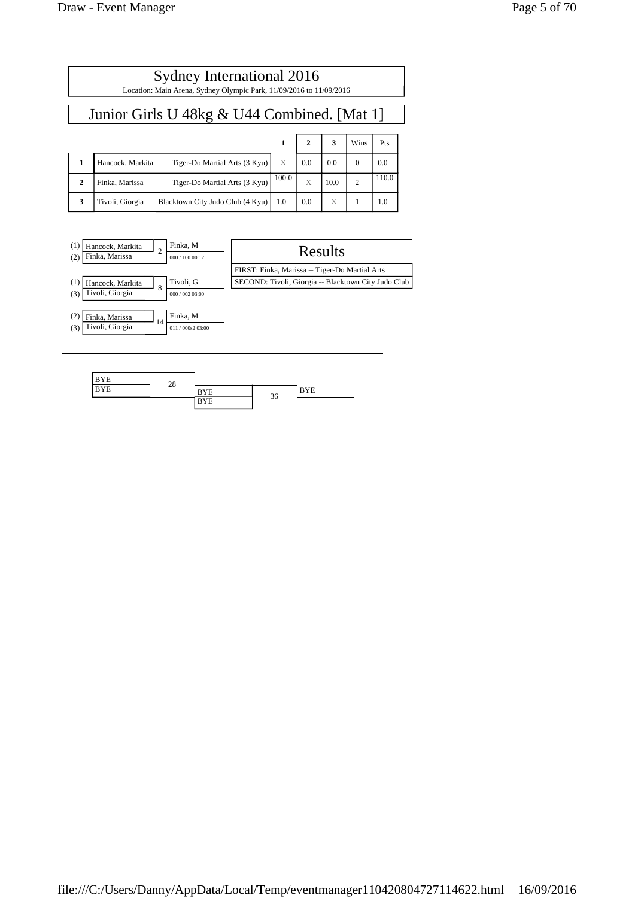| Sydney International 2016                   |                                                                     |       |              |      |                |       |  |  |
|---------------------------------------------|---------------------------------------------------------------------|-------|--------------|------|----------------|-------|--|--|
|                                             | Location: Main Arena, Sydney Olympic Park, 11/09/2016 to 11/09/2016 |       |              |      |                |       |  |  |
| Junior Girls U 48kg & U44 Combined. [Mat 1] |                                                                     |       |              |      |                |       |  |  |
|                                             |                                                                     | 1     | $\mathbf{2}$ | 3    | Wins           | Pts   |  |  |
| 1                                           | Hancock, Markita<br>Tiger-Do Martial Arts (3 Kyu)                   | X     | 0.0          | 0.0  | $\Omega$       | 0.0   |  |  |
| $\mathbf{2}$                                | Tiger-Do Martial Arts (3 Kyu)<br>Finka, Marissa                     | 100.0 | X            | 10.0 | $\overline{c}$ | 110.0 |  |  |
| 3                                           | Tivoli, Giorgia<br>Blacktown City Judo Club (4 Kyu)                 | 1.0   | 0.0          | X    |                | 1.0   |  |  |



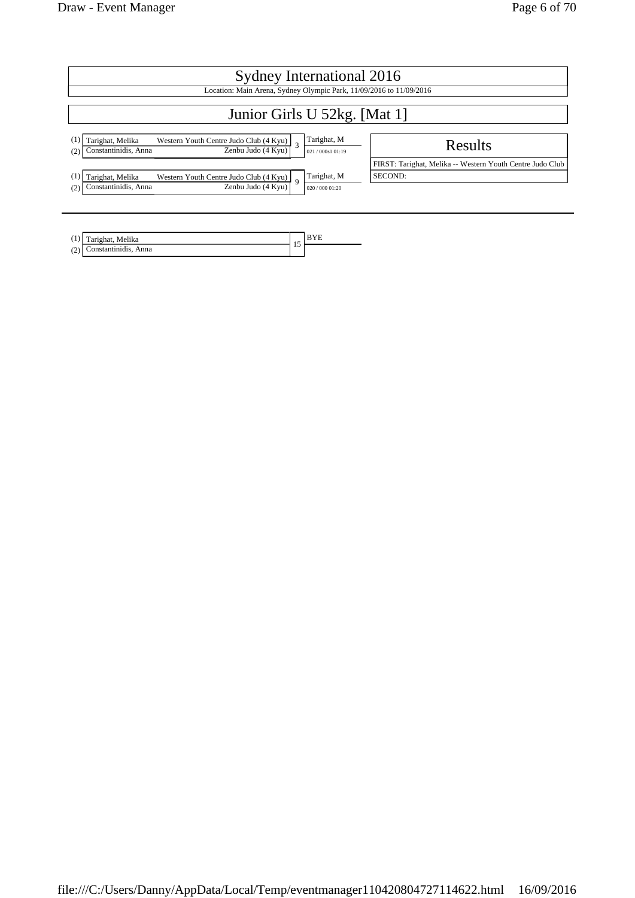| Sydney International 2016                                                                                                 |                                |                                                           |  |  |  |  |
|---------------------------------------------------------------------------------------------------------------------------|--------------------------------|-----------------------------------------------------------|--|--|--|--|
| Location: Main Arena, Sydney Olympic Park, 11/09/2016 to 11/09/2016                                                       |                                |                                                           |  |  |  |  |
| Junior Girls U 52kg. [Mat 1]                                                                                              |                                |                                                           |  |  |  |  |
| Tarighat, Melika<br>Western Youth Centre Judo Club $(4 \text{ Kyu})$ 3<br>Constantinidis, Anna<br>Zenbu Judo (4 Kvu)<br>2 | Tarighat, M<br>021/000s1 01:19 | Results                                                   |  |  |  |  |
|                                                                                                                           |                                | FIRST: Tarighat, Melika -- Western Youth Centre Judo Club |  |  |  |  |
| Tarighat, Melika<br>Western Youth Centre Judo Club $(4$ Kyu) $\Big\}$ 9<br>Zenbu Judo (4 Kyu)<br>Constantinidis, Anna     | Tarighat, M<br>020/000 01:20   | SECOND:                                                   |  |  |  |  |
|                                                                                                                           |                                |                                                           |  |  |  |  |

| (1)           | Tarighat, Melika |     | $-1$ |
|---------------|------------------|-----|------|
| $\sim$<br>(2) | Anna             | . . |      |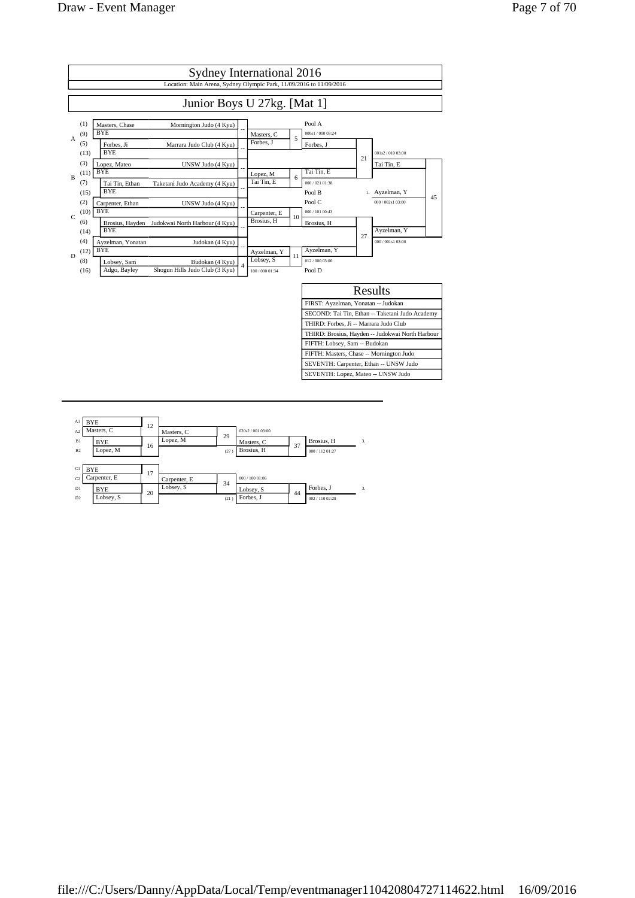

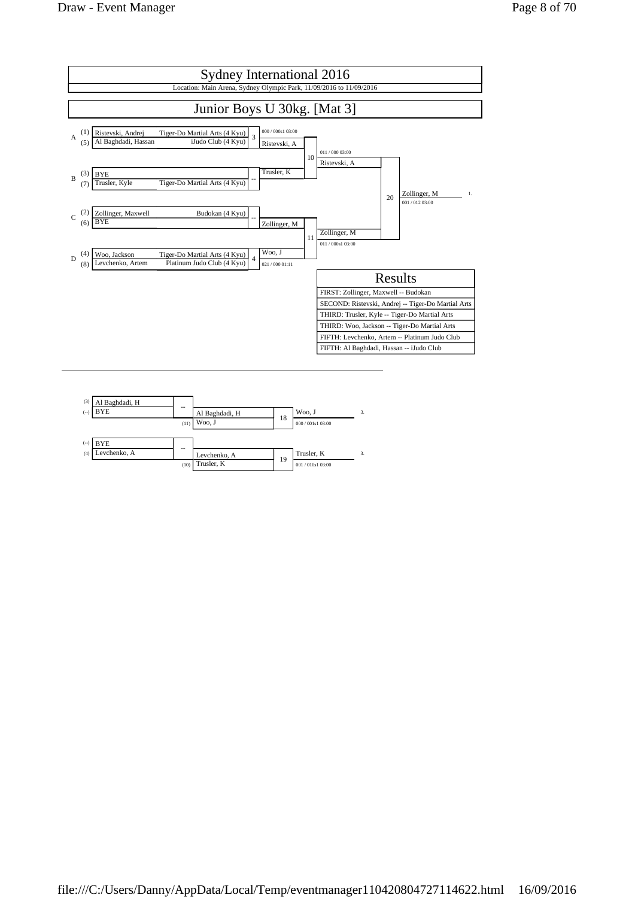

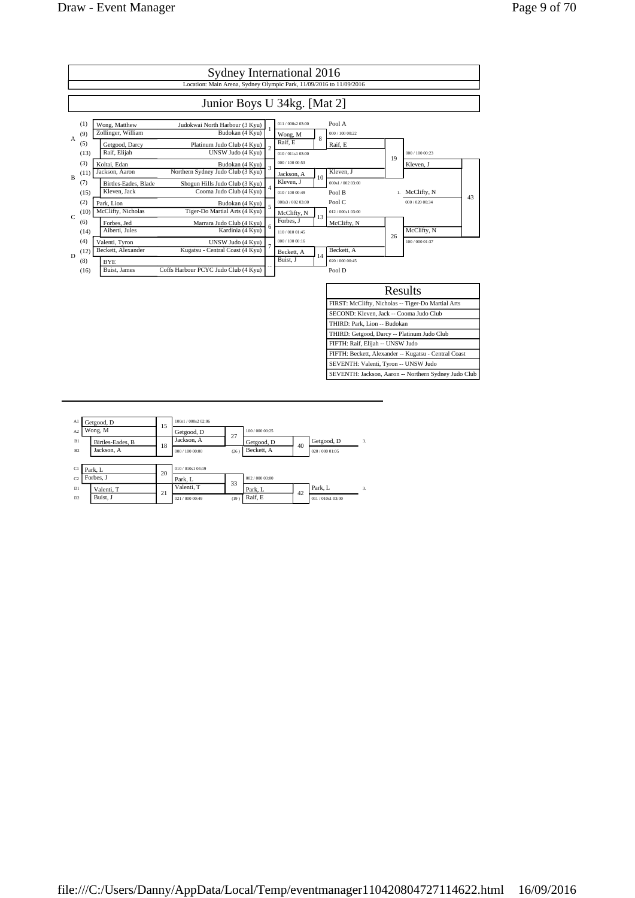

| Al             | Getgood, D       | 15 | 100s1 / 000s2 02:06 |      |               |    |                 |    |
|----------------|------------------|----|---------------------|------|---------------|----|-----------------|----|
| A <sub>2</sub> | Wong, M          |    | Getgood, D          | 27   | 100/000 00:25 |    |                 |    |
| B1             | Birtles-Eades, B | 18 | Jackson, A          |      | Getgood, D    | 40 | Getgood, D      | 3. |
| B <sub>2</sub> | Jackson, A       |    | 000 / 100 00:00     | (26) | Beckett, A    |    | 020 / 000 01:05 |    |
|                |                  |    |                     |      |               |    |                 |    |
| C1             | Park, L          | 20 | 010/010s1 04:19     |      |               |    |                 |    |
| C <sub>2</sub> | Forbes. J        |    | Park, L             | 33   | 002/000 03:00 |    |                 |    |
| D1             | Valenti, T       | 21 | Valenti, T          |      | Park, L       |    | Park. L         | 3. |
| D2             | Buist, J         |    | 021/000 00:49       | (19) | Raif, E       | 42 | 011/010s1 03:00 |    |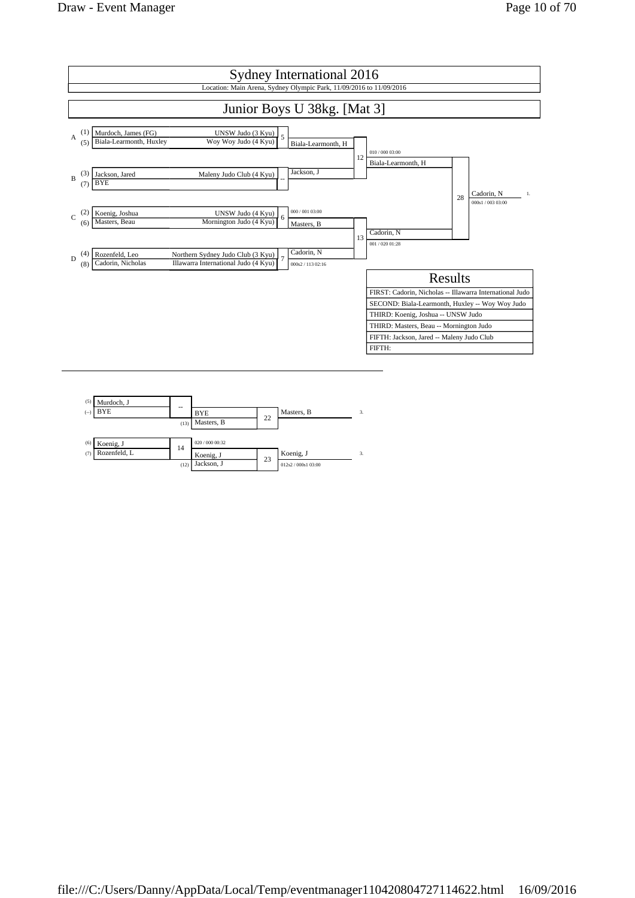

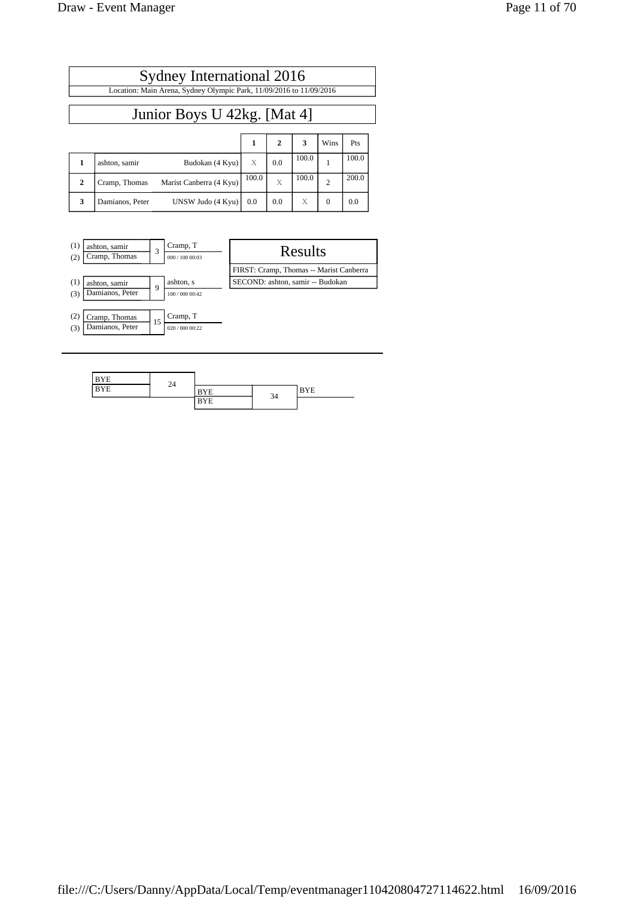| Sydney International 2016   |                                                                     |       |              |       |                |       |  |  |
|-----------------------------|---------------------------------------------------------------------|-------|--------------|-------|----------------|-------|--|--|
|                             | Location: Main Arena, Sydney Olympic Park, 11/09/2016 to 11/09/2016 |       |              |       |                |       |  |  |
| Junior Boys U 42kg. [Mat 4] |                                                                     |       |              |       |                |       |  |  |
|                             |                                                                     | 1     | $\mathbf{2}$ | 3     | Wins           | Pts   |  |  |
| 1                           | Budokan (4 Kyu)<br>ashton, samir                                    | X     | 0.0          | 100.0 |                | 100.0 |  |  |
| $\mathbf{2}$                | Marist Canberra (4 Kyu)<br>Cramp, Thomas                            | 100.0 | $\mathbf{X}$ | 100.0 | $\overline{2}$ | 200.0 |  |  |
| 3                           | UNSW Judo (4 Kyu)<br>Damianos, Peter                                | 0.0   | 0.0          | X     | $\Omega$       | 0.0   |  |  |



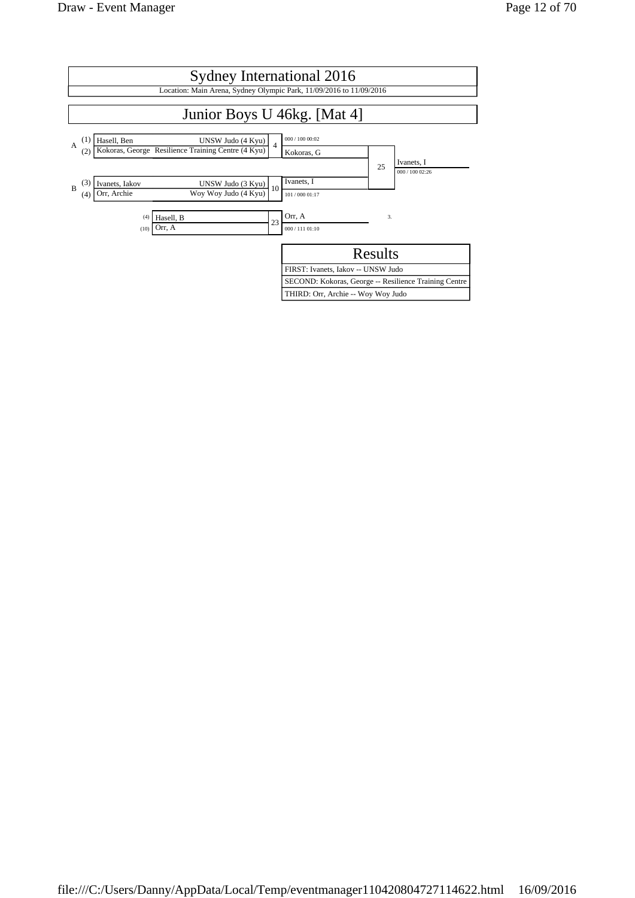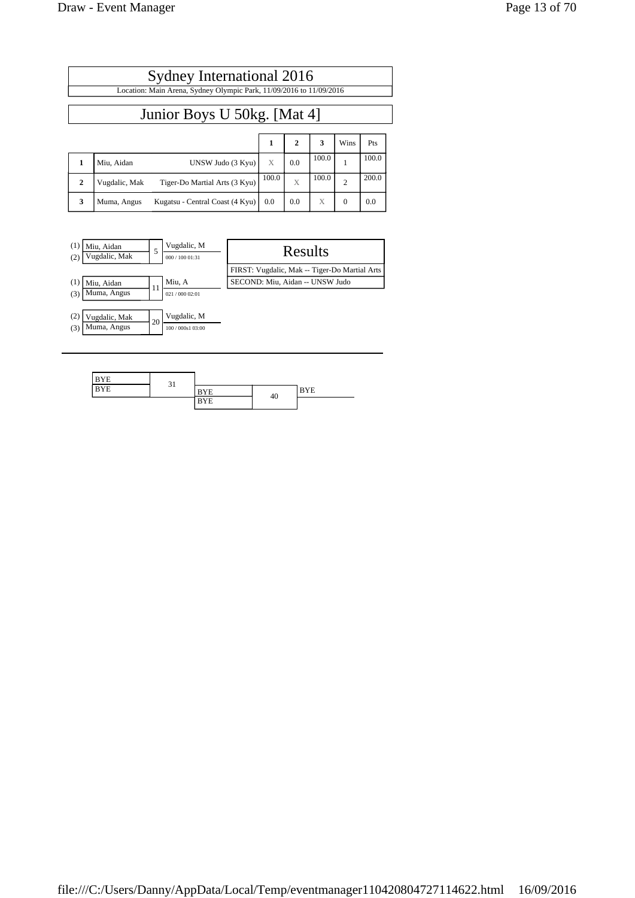Muma, Angus

| (2)<br>(3) | Vugdalic, Mak<br>Muma, Angus | 20 | Vugdalic, M<br>100 / 000s1 03:00 |  |
|------------|------------------------------|----|----------------------------------|--|
|            |                              |    |                                  |  |
|            |                              |    |                                  |  |
|            | <b>RVF</b>                   |    |                                  |  |

Sydney International 2016 Location: Main Arena, Sydney Olympic Park, 11/09/2016 to 11/09/2016

Junior Boys U 50kg. [Mat 4]

**1** Miu, Aidan UNSW Judo (3 Kyu) X 0.0 100.0 1 100.0 **2** Vugdalic, Mak Tiger-Do Martial Arts  $(3 \text{ Kyu})$   $\begin{bmatrix} 100.0 \\ X \end{bmatrix}$   $\begin{bmatrix} 100.0 \\ 2 \end{bmatrix}$   $\begin{bmatrix} 200.0 \\ 2 \end{bmatrix}$ 

**3** | Muma, Angus Kugatsu - Central Coast  $(4 \text{ Kyu})$  | 0.0 | 0.0 |  $X$  | 0 | 0.0

(1)  $\overline{\text{Miu, Aidan}}$  5  $\overline{\text{Vugdalic, M}}$  Results (2)  $\overline{\text{Vugdalic, Max}}$ 

(1)  $\boxed{\frac{Miu, Aidan}{Muma, Angus}}$  11  $\boxed{\frac{Miu, A}{\frac{021}{00002.01}}}$  SECOND: Miu, Aidan -- UNSW Judo

**123** Wins Pts

FIRST: Vugdalic, Mak -- Tiger-Do Martial Arts

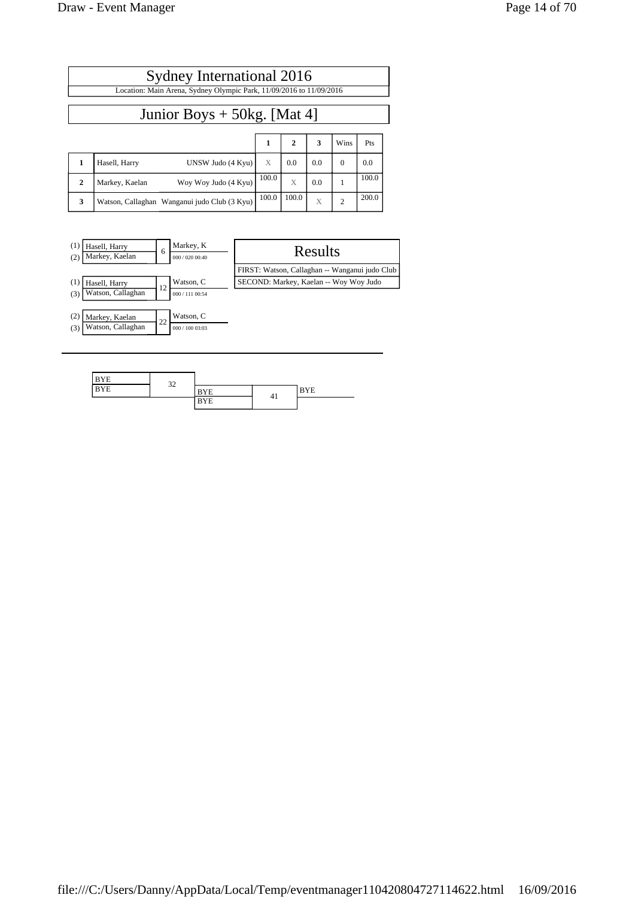| Sydney International 2016<br>Location: Main Arena, Sydney Olympic Park, 11/09/2016 to 11/09/2016 |                                              |       |              |     |                |       |  |
|--------------------------------------------------------------------------------------------------|----------------------------------------------|-------|--------------|-----|----------------|-------|--|
| Junior Boys $+$ 50kg. [Mat 4]                                                                    |                                              |       |              |     |                |       |  |
|                                                                                                  |                                              | 1     | $\mathbf{2}$ | 3   | Wins           | Pts   |  |
| 1                                                                                                | Hasell, Harry<br>UNSW Judo (4 Kyu)           | X     | 0.0          | 0.0 | $\Omega$       | 0.0   |  |
| $\mathbf{2}$                                                                                     | Woy Woy Judo (4 Kyu)<br>Markey, Kaelan       | 100.0 | X            | 0.0 |                | 100.0 |  |
| 3                                                                                                | Watson, Callaghan Wanganui judo Club (3 Kyu) | 100.0 | 100.0        | X   | $\overline{c}$ | 200.0 |  |



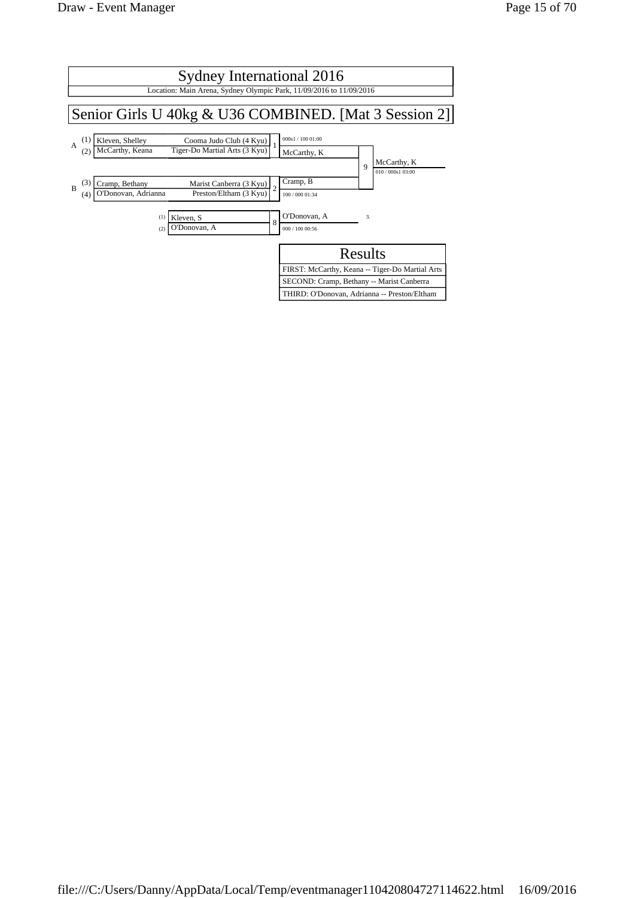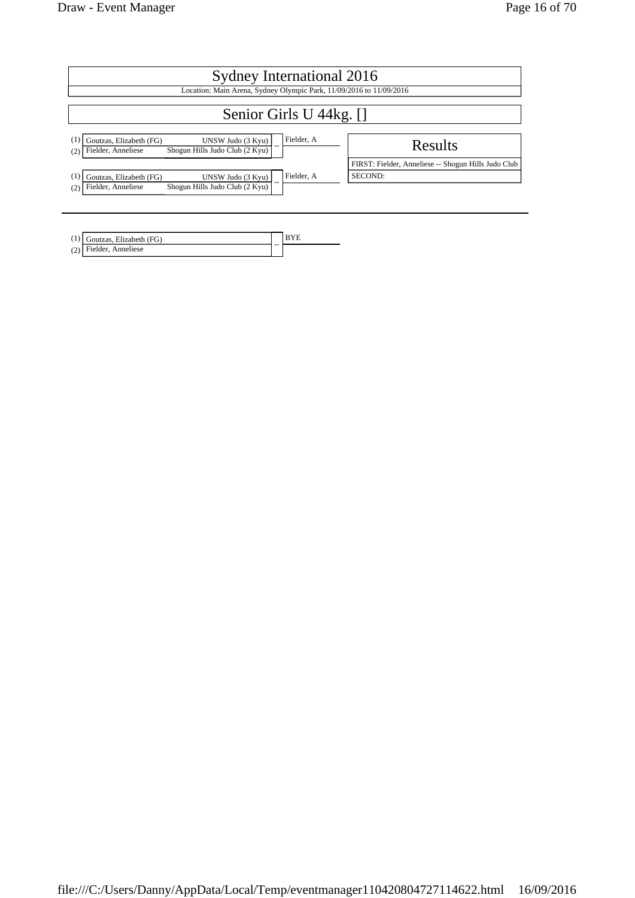| Sydney International 2016                                                                                                 |                                                                |  |  |  |  |
|---------------------------------------------------------------------------------------------------------------------------|----------------------------------------------------------------|--|--|--|--|
| Location: Main Arena, Sydney Olympic Park, 11/09/2016 to 11/09/2016                                                       |                                                                |  |  |  |  |
| Senior Girls U 44kg. []                                                                                                   |                                                                |  |  |  |  |
| Fielder, A<br>Goutzas, Elizabeth (FG)<br>UNSW Judo (3 Kyu)<br>Shogun Hills Judo Club (2 Kyu)<br>Fielder, Anneliese<br>(2) | Results                                                        |  |  |  |  |
| Fielder, A<br>Goutzas, Elizabeth (FG)<br>UNSW Judo (3 Kyu)                                                                | FIRST: Fielder, Anneliese -- Shogun Hills Judo Club<br>SECOND: |  |  |  |  |
| Shogun Hills Judo Club (2 Kyu)<br>Fielder, Anneliese<br>(2)                                                               |                                                                |  |  |  |  |

| $(1)$ Goutzas, Elizabeth (FG) |    |  |
|-------------------------------|----|--|
| $(2)$ Fielder, Anneliese      | -- |  |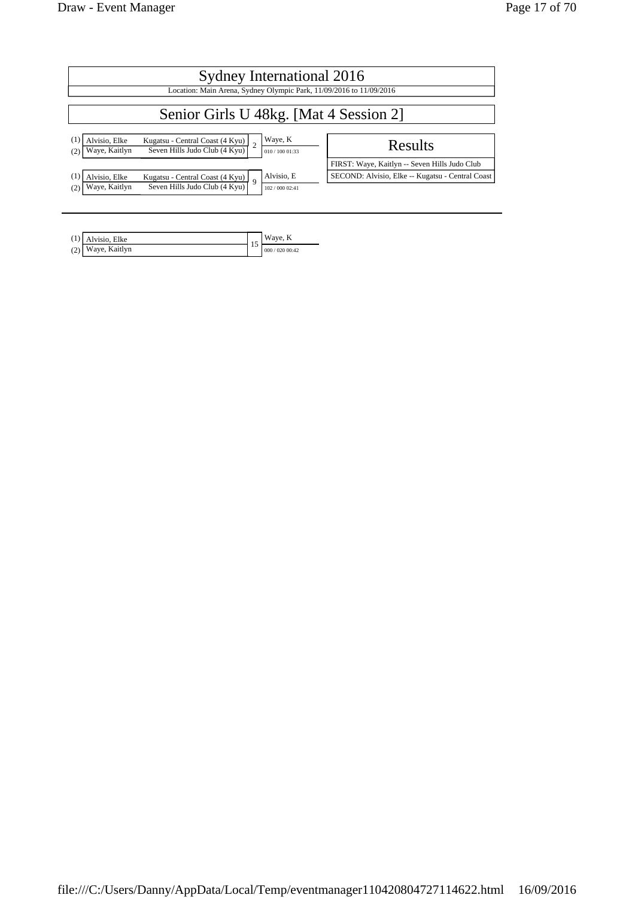| Sydney International 2016              |                                                                     |             |                          |                                                  |  |
|----------------------------------------|---------------------------------------------------------------------|-------------|--------------------------|--------------------------------------------------|--|
|                                        | Location: Main Arena, Sydney Olympic Park, 11/09/2016 to 11/09/2016 |             |                          |                                                  |  |
| Senior Girls U 48kg. [Mat 4 Session 2] |                                                                     |             |                          |                                                  |  |
| Alvisio, Elke<br>Waye, Kaitlyn         | Kugatsu - Central Coast (4 Kyu)<br>Seven Hills Judo Club (4 Kyu)    |             | Waye, K<br>010/100 01:33 | Results                                          |  |
|                                        |                                                                     |             |                          | FIRST: Waye, Kaitlyn -- Seven Hills Judo Club    |  |
| Alvisio. Elke                          | Kugatsu - Central Coast (4 Kyu)                                     | $\mathbf Q$ | Alvisio, E               | SECOND: Alvisio, Elke -- Kugatsu - Central Coast |  |
| Waye, Kaitlyn                          | Seven Hills Judo Club (4 Kyu)                                       |             | 102 / 000 02:41          |                                                  |  |

| $(1)$   Alvisio, Elke | Waye, K             |
|-----------------------|---------------------|
| $(2)$ Waye, Kaitlyn   | <br>000 / 020 00:42 |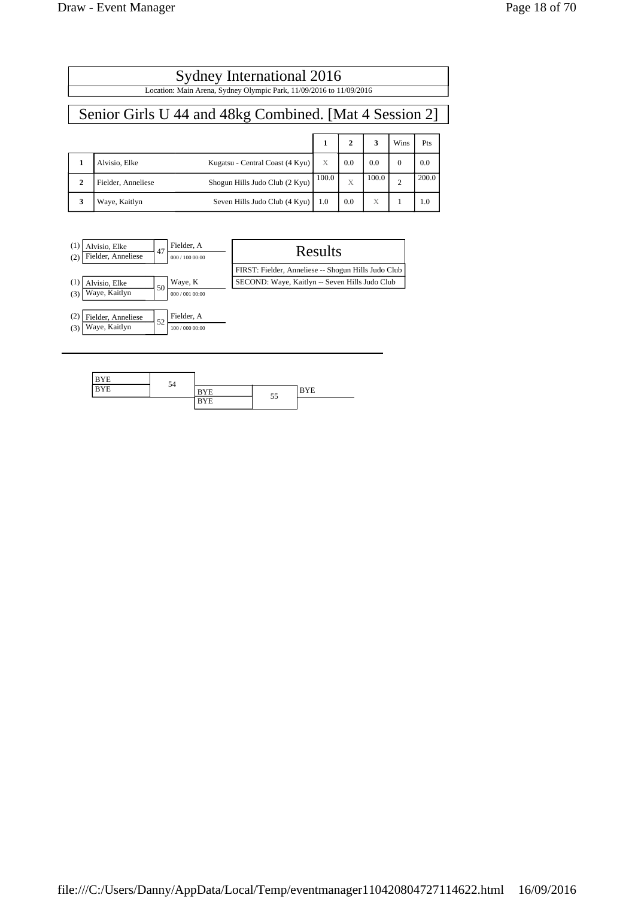| Sydney International 2016 |                                                        |                                                                     |  |              |     |      |     |
|---------------------------|--------------------------------------------------------|---------------------------------------------------------------------|--|--------------|-----|------|-----|
|                           |                                                        | Location: Main Arena, Sydney Olympic Park, 11/09/2016 to 11/09/2016 |  |              |     |      |     |
|                           | Senior Girls U 44 and 48kg Combined. [Mat 4 Session 2] |                                                                     |  |              |     |      |     |
|                           |                                                        |                                                                     |  | $\mathbf{2}$ | 3   | Wins | Pts |
|                           | Alvisio, Elke                                          | Kugatsu - Central Coast (4 Kyu)                                     |  | 0.0          | 0.0 |      | 0.0 |

|  | Waye, Kaitlyn      | Seven Hills Judo Club (4 Kyu)        | 1.0   |                  | $\mathbf{v}$ |       |
|--|--------------------|--------------------------------------|-------|------------------|--------------|-------|
|  | Fielder, Anneliese | Shogun Hills Judo Club (2 Kyu)       | 100.0 |                  | 100.0        | 200.0 |
|  | Alvisio. Elke      | Kugatsu - Central Coast $(4$ Kyu $)$ | X     | $\overline{0.0}$ |              | 0.0   |



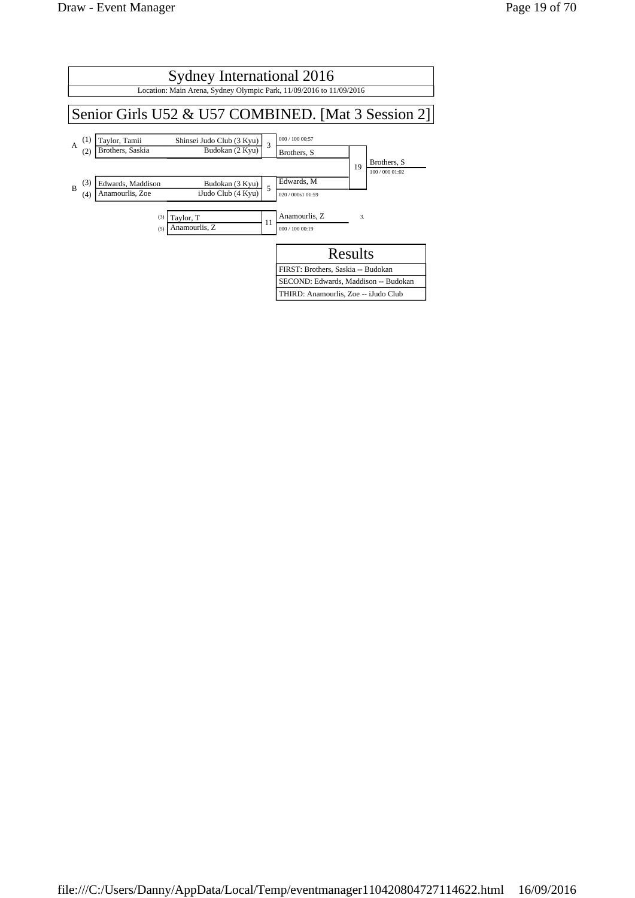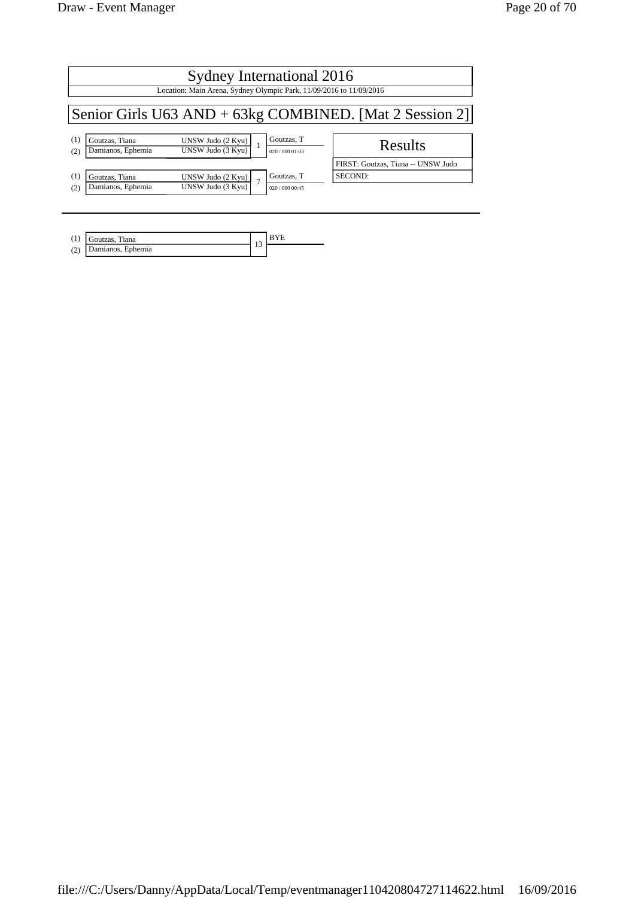| Sydney International 2016<br>Location: Main Arena, Sydney Olympic Park, 11/09/2016 to 11/09/2016 |                               |                                    |  |  |  |
|--------------------------------------------------------------------------------------------------|-------------------------------|------------------------------------|--|--|--|
| Senior Girls U63 AND + 63kg COMBINED. [Mat 2 Session 2]                                          |                               |                                    |  |  |  |
| $\frac{UNSW Judo (2 Kyu)}{UNSW Judo (3 Kyu)}$                                                    | Goutzas, T<br>020/00001:03    | Results                            |  |  |  |
|                                                                                                  |                               | FIRST: Goutzas, Tiana -- UNSW Judo |  |  |  |
| UNSW Judo (2 Kyu)<br>UNSW Judo (3 Kvu)                                                           | Goutzas, T<br>020 / 000 00:45 | SECOND:                            |  |  |  |
|                                                                                                  |                               |                                    |  |  |  |

| (1) | Tiana<br>Goutzas       | $\sim$ |  |  |  |
|-----|------------------------|--------|--|--|--|
| (2) | )amianos,<br>, Ephemia |        |  |  |  |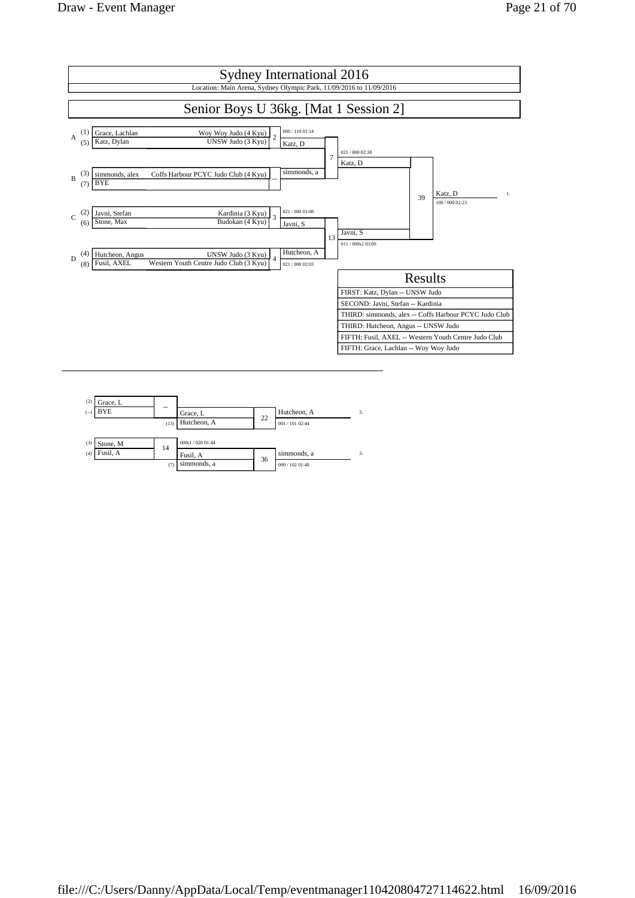

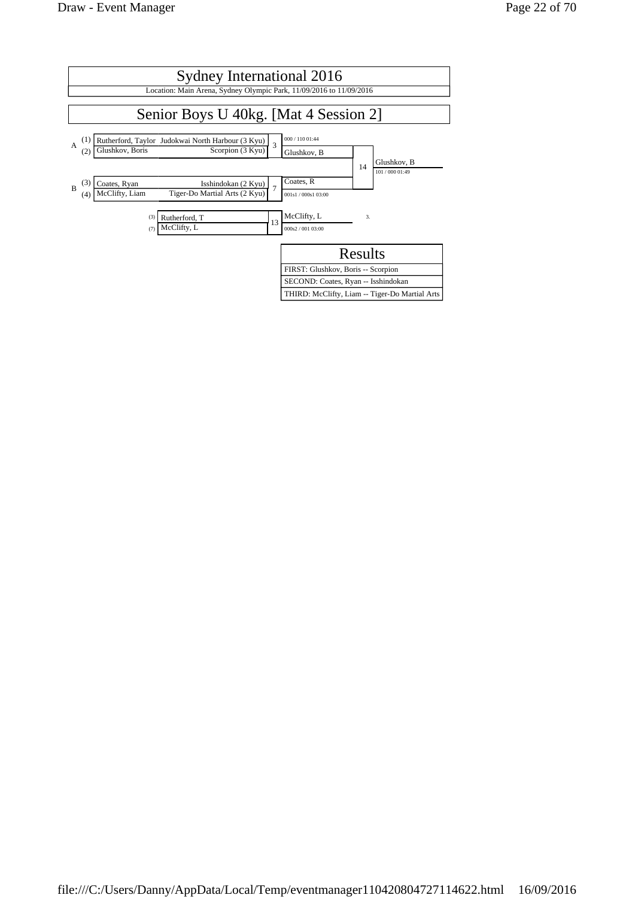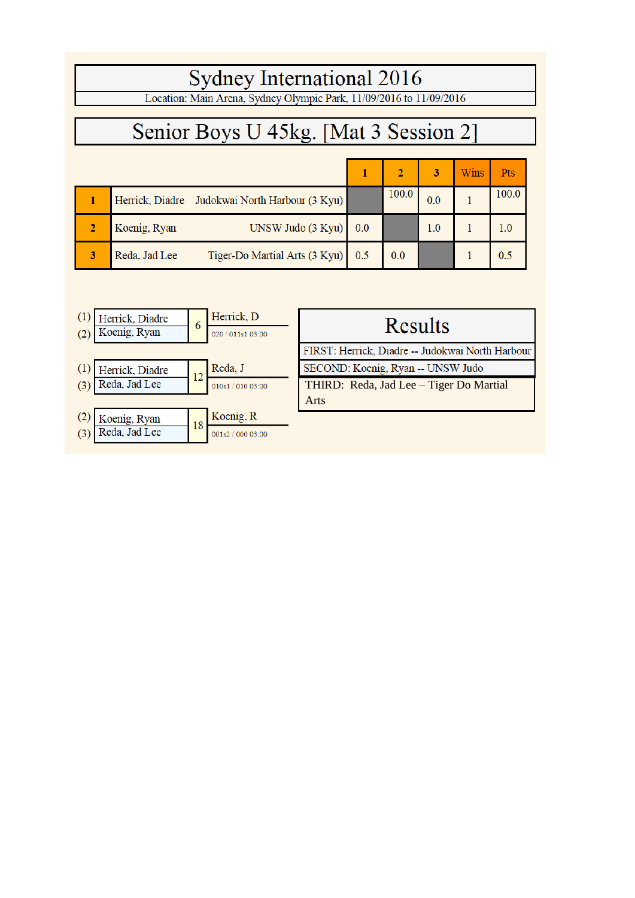# Sydney International 2016<br>Location: Main Arena, Sydney Olympic Park, 11/09/2016 to 11/09/2016

# Senior Boys U 45kg. [Mat 3 Session 2]

|   |                                                    |     |       | 3       | <b>Wins</b> | Pts   |
|---|----------------------------------------------------|-----|-------|---------|-------------|-------|
|   | Herrick, Diadre Judokwai North Harbour (3 Kyu)     |     | 100.0 | 0.0     |             | 100.0 |
|   | UNSW Judo (3 Kyu)<br>Koenig, Ryan                  | 0.0 |       | $1.0\,$ |             |       |
| 3 | Tiger-Do Martial Arts (3 Kyu) 0.5<br>Reda, Jad Lee |     | 0.0   |         |             | 0.5   |

|     | Herrick, Diadre | 6  | Herrick, D        | Results                                          |
|-----|-----------------|----|-------------------|--------------------------------------------------|
|     | Koenig, Ryan    |    | 020 / 011s1 03:00 |                                                  |
|     |                 |    |                   | FIRST: Herrick, Diadre -- Judokwai North Harbour |
|     | Herrick, Diadre | 12 | Reda, J           | SECOND: Koenig, Ryan -- UNSW Judo                |
| (3) | Reda, Jad Lee   |    | 010s1 / 010 03:00 | THIRD: Reda, Jad Lee - Tiger Do Martial          |
|     |                 |    |                   | Arts                                             |
|     | Koenig, Ryan    | 18 | Koenig, R         |                                                  |
| (3) | Reda, Jad Lee   |    | 001s2 / 000 03:00 |                                                  |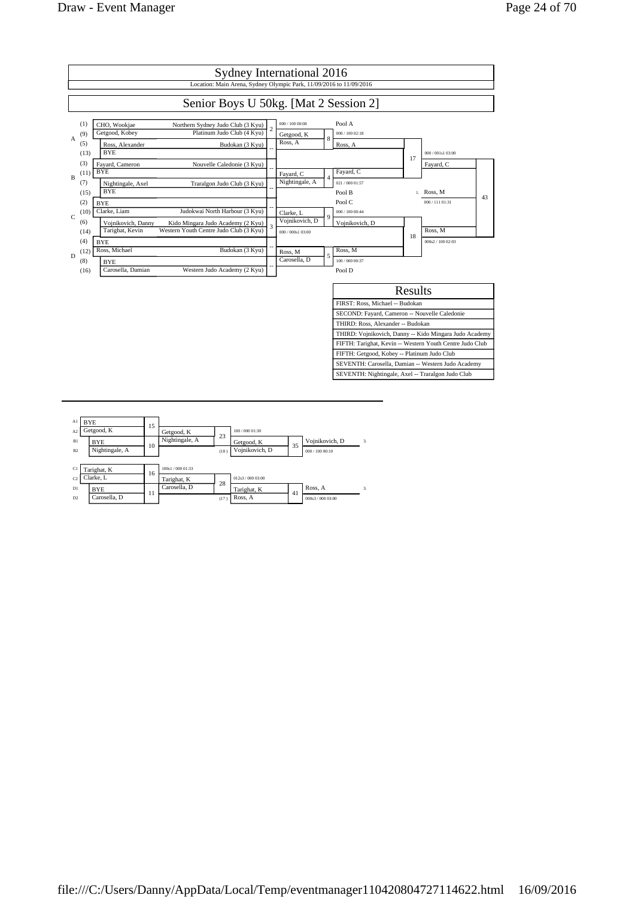

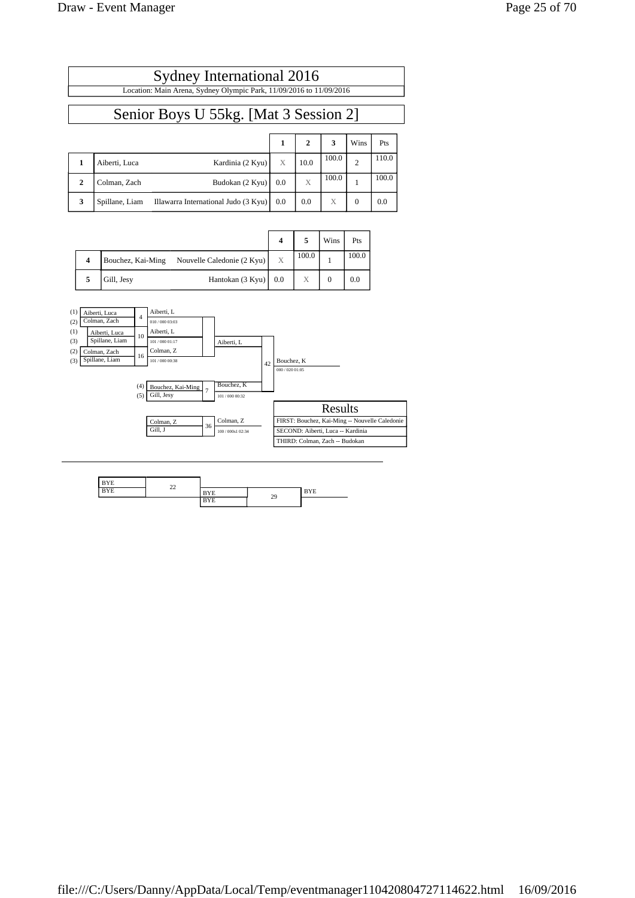| Sydney International 2016                                           |  |
|---------------------------------------------------------------------|--|
| Location: Main Arena, Sydney Olympic Park, 11/09/2016 to 11/09/2016 |  |
|                                                                     |  |

# Senior Boys U 55kg. [Mat 3 Session 2]

|              |                |                                      |     | $\overline{2}$ | 3     | Wins           | Pts   |
|--------------|----------------|--------------------------------------|-----|----------------|-------|----------------|-------|
|              | Aiberti, Luca  | Kardinia (2 Kyu)                     | X   | 10.0           | 100.0 | $\overline{c}$ | 110.0 |
| $\mathbf{2}$ | Colman, Zach   | Budokan (2 Kyu)                      | 0.0 | X              | 100.0 |                | 100.0 |
| 3            | Spillane, Liam | Illawarra International Judo (3 Kyu) | 0.0 | 0.0            | X     | $\Omega$       | 0.0   |

|                     |                   |                            |   |       | Wins | Pts   |
|---------------------|-------------------|----------------------------|---|-------|------|-------|
| $\overline{\bf{4}}$ | Bouchez, Kai-Ming | Nouvelle Caledonie (2 Kyu) | X | 100.0 |      | 100.0 |
| 5                   | Gill, Jesy        | Hantokan $(3 Kyu)$ 0.0     |   |       |      | 0.0   |



| 3YE       | $\sim$ |                        |    |          |
|-----------|--------|------------------------|----|----------|
| YE<br>- - | ے ک    | ΥE                     | 29 | rЕ<br>-- |
|           |        | $x \rightarrow$<br>BYE |    |          |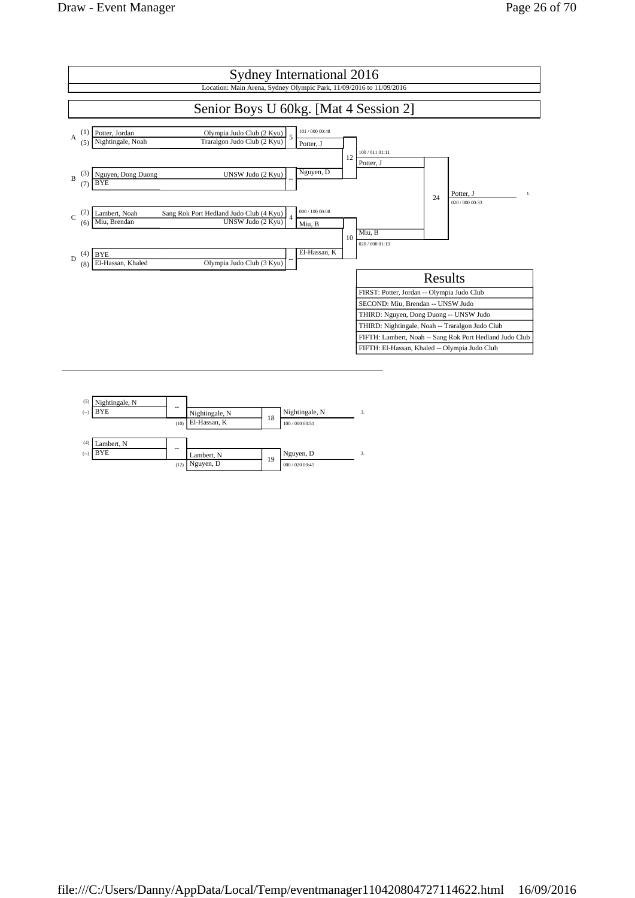

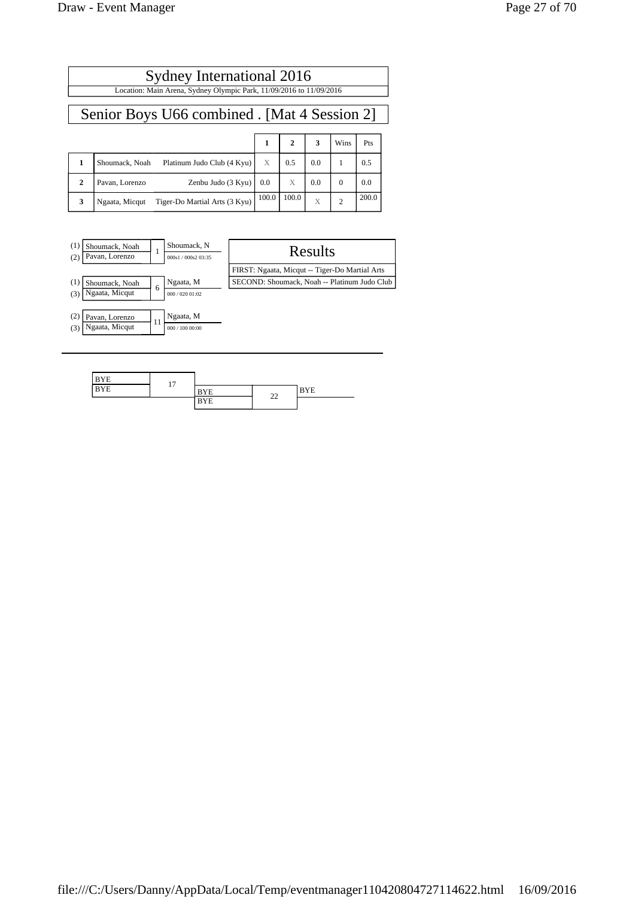#### Sydney International 2016 Location: Main Arena, Sydney Olympic Park, 11/09/2016 to 11/09/2016

#### Senior Boys U66 combined . [Mat 4 Session 2]

|              |                                                 |       |       | 3   | Wins     | Pts   |
|--------------|-------------------------------------------------|-------|-------|-----|----------|-------|
|              | Platinum Judo Club (4 Kyu)<br>Shoumack, Noah    | X     | 0.5   | 0.0 |          | 0.5   |
| $\mathbf{2}$ | Zenbu Judo $(3 Kyu)$ 0.0<br>Pavan, Lorenzo      |       | X     | 0.0 | $\Omega$ | 0.0   |
| 3            | Tiger-Do Martial Arts (3 Kyu)<br>Ngaata, Micqut | 100.0 | 100.0 | X   | 2        | 200.0 |



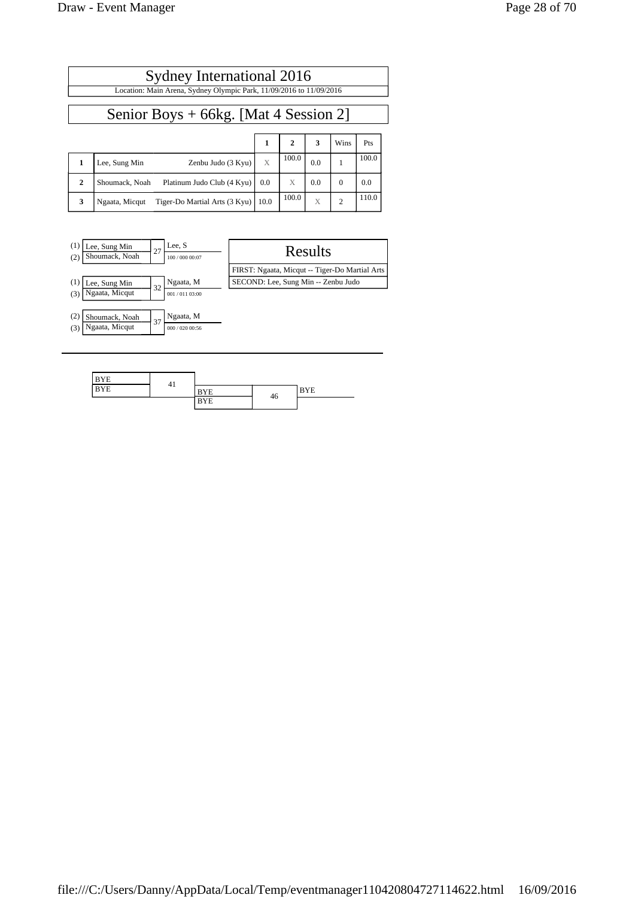#### Sydney International 2016 Location: Main Arena, Sydney Olympic Park, 11/09/2016 to 11/09/2016

#### Senior Boys + 66kg. [Mat 4 Session 2]

|   |                                                          |   | 2     | 3   | Wins | Pts   |
|---|----------------------------------------------------------|---|-------|-----|------|-------|
|   | Zenbu Judo $(3 Kyu)$<br>Lee, Sung Min                    | X | 100.0 | 0.0 |      | 100.0 |
| 2 | Platinum Judo Club $(4 Kyu)$   0.0<br>Shoumack, Noah     |   | X     | 0.0 |      | 0.0   |
| 3 | Tiger-Do Martial Arts $(3 Kyu)$   10.0<br>Ngaata, Micqut |   | 100.0 | X   | ◠    | 110.0 |



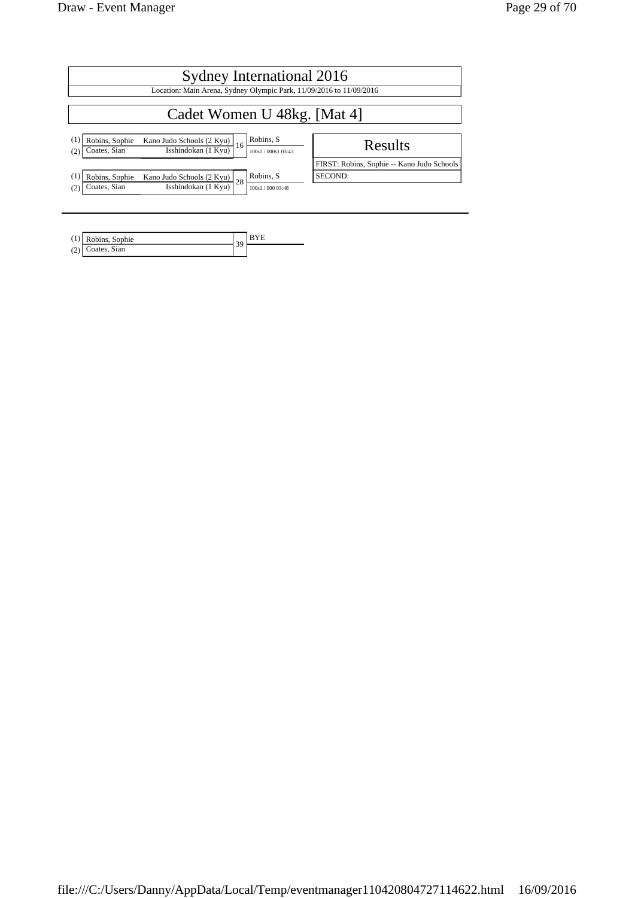| Sydney International 2016                                 |                                                                     |                               |                                            |  |  |  |
|-----------------------------------------------------------|---------------------------------------------------------------------|-------------------------------|--------------------------------------------|--|--|--|
|                                                           | Location: Main Arena, Sydney Olympic Park, 11/09/2016 to 11/09/2016 |                               |                                            |  |  |  |
| Cadet Women U 48kg. [Mat 4]                               |                                                                     |                               |                                            |  |  |  |
| $\left(1\right)$<br>Robins, Sophie<br>Coates, Sian<br>(2) | Kano Judo Schools (2 Kyu)<br>16<br>Isshindokan (1 Kyu)              | Robins, S<br>100s1/000s103:43 | Results                                    |  |  |  |
|                                                           |                                                                     |                               | FIRST: Robins, Sophie -- Kano Judo Schools |  |  |  |
| $\left(1\right)$<br>Robins, Sophie                        | Kano Judo Schools $(2$ Kyu) $28$                                    | Robins, S                     | SECOND:                                    |  |  |  |
| Coates, Sian<br>(2)                                       | Isshindokan (1 Kyu)                                                 | 100s1/000 03:48               |                                            |  |  |  |

|     | $(1)$ Robins, Sophie | $\sim$ |  |
|-----|----------------------|--------|--|
| (2) | Coates, Sian         |        |  |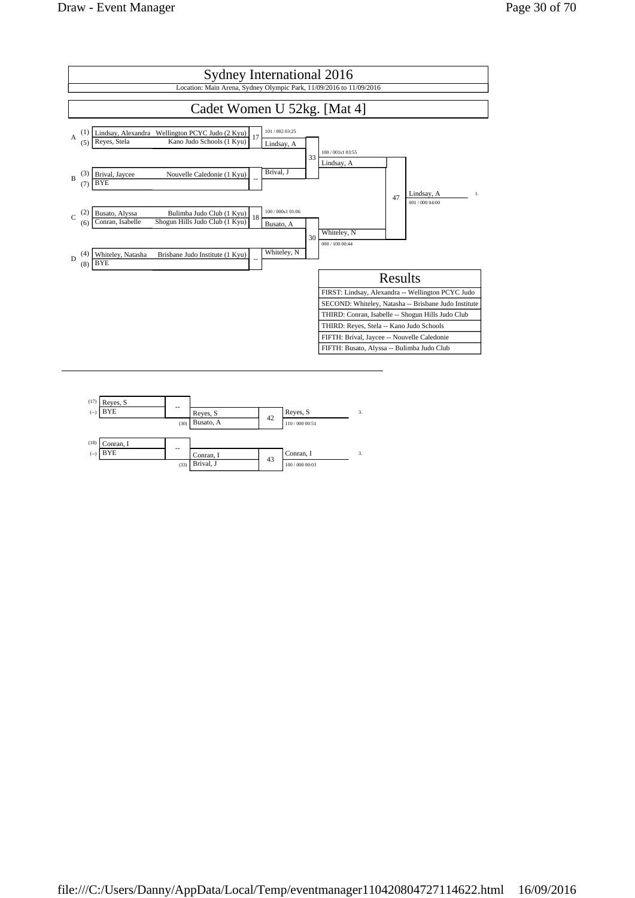

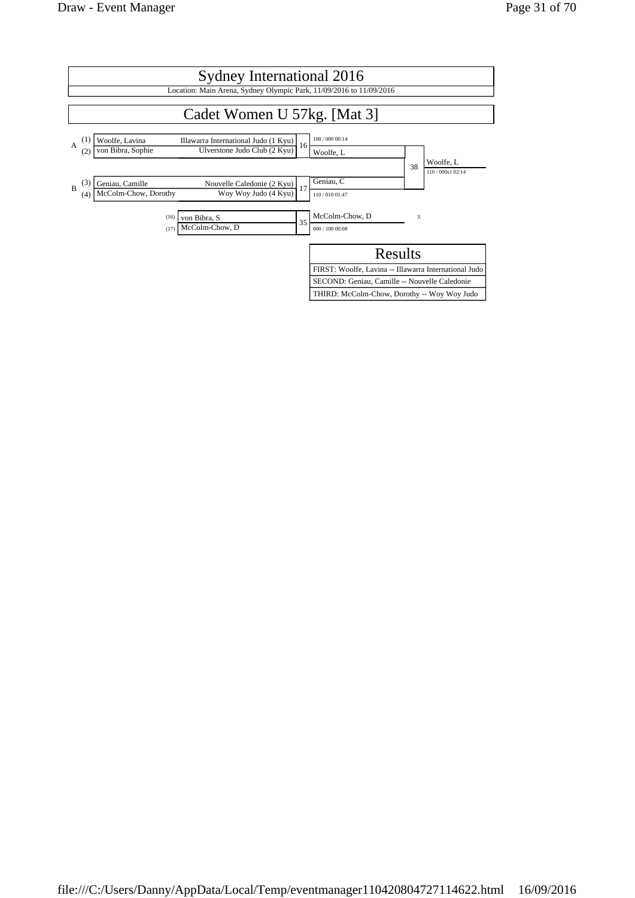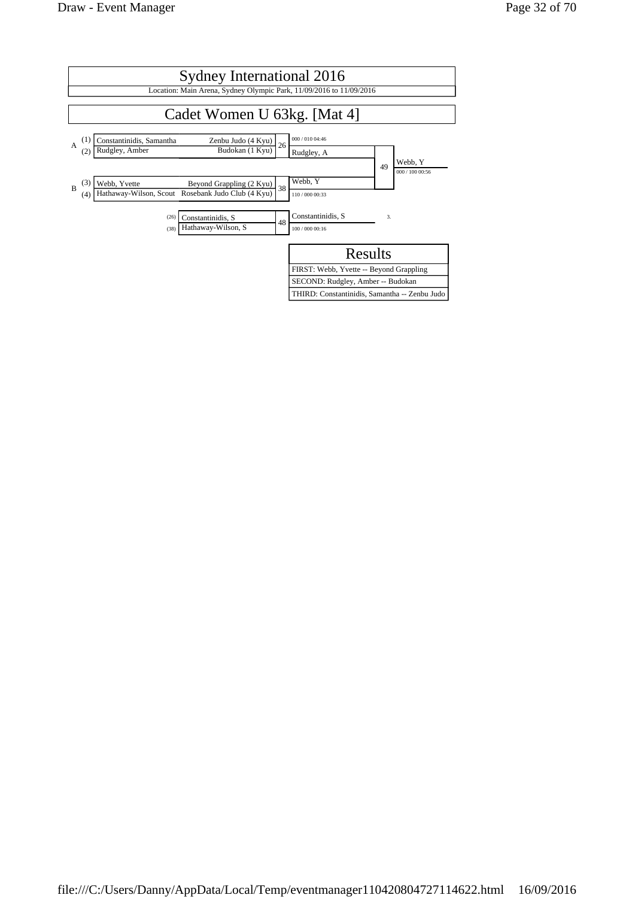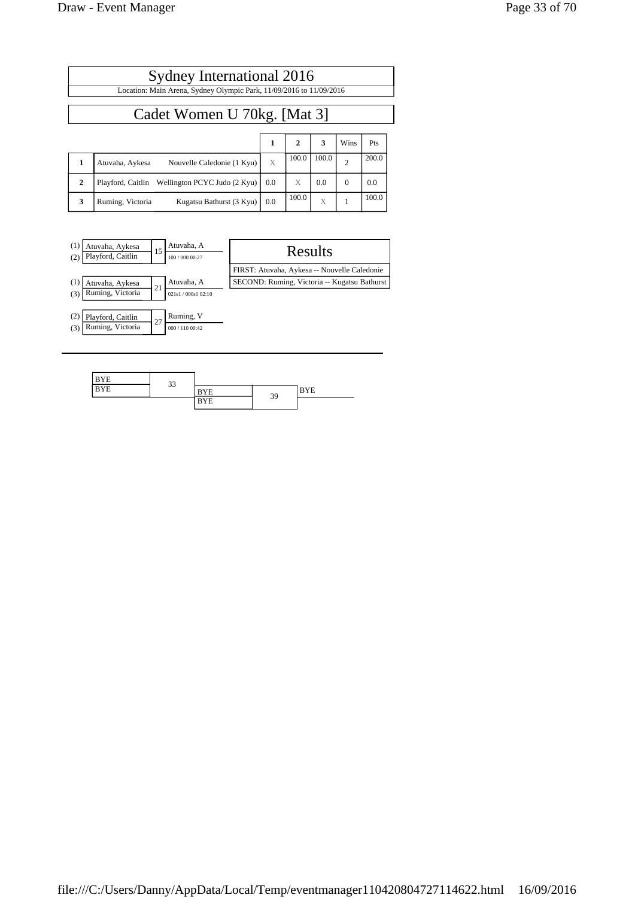|              | Sydney International 2016                                           |                   |              |       |                |       |  |  |  |
|--------------|---------------------------------------------------------------------|-------------------|--------------|-------|----------------|-------|--|--|--|
|              | Location: Main Arena, Sydney Olympic Park, 11/09/2016 to 11/09/2016 |                   |              |       |                |       |  |  |  |
|              | Cadet Women U 70kg. [Mat 3]                                         |                   |              |       |                |       |  |  |  |
|              |                                                                     | 1                 | $\mathbf{2}$ | 3     | Wins           | Pts   |  |  |  |
| 1            | Nouvelle Caledonie (1 Kyu)<br>Atuvaha, Aykesa                       | X                 | 100.0        | 100.0 | $\overline{2}$ | 200.0 |  |  |  |
| $\mathbf{2}$ | Wellington PCYC Judo (2 Kyu)<br>Playford, Caitlin                   | 0.0               | X            | 0.0   | $\mathbf{0}$   | 0.0   |  |  |  |
| 3            | Kugatsu Bathurst (3 Kyu)<br>Ruming, Victoria                        | $\vert 0.0 \vert$ | 100.0        | X     |                | 100.0 |  |  |  |



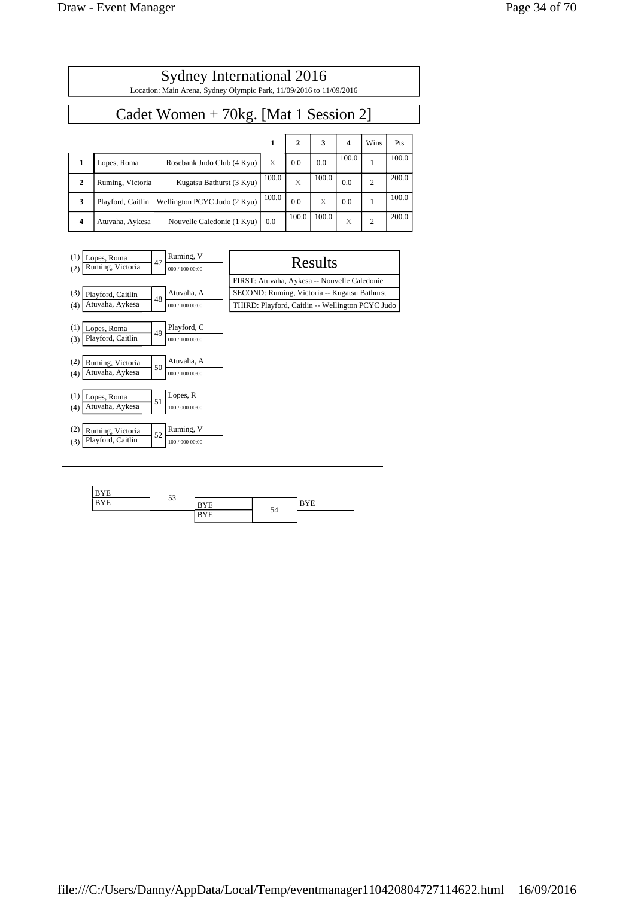| Sydney International 2016<br>Location: Main Arena, Sydney Olympic Park, 11/09/2016 to 11/09/2016 |                                                   |       |                |       |                  |                |       |  |  |
|--------------------------------------------------------------------------------------------------|---------------------------------------------------|-------|----------------|-------|------------------|----------------|-------|--|--|
| Cadet Women $+ 70$ kg. [Mat 1 Session 2]                                                         |                                                   |       |                |       |                  |                |       |  |  |
|                                                                                                  |                                                   | 1     | $\overline{2}$ | 3     | $\boldsymbol{4}$ | Wins           | Pts   |  |  |
| 1                                                                                                | Rosebank Judo Club (4 Kyu)<br>Lopes, Roma         | X     | 0.0            | 0.0   | 100.0            | 1              | 100.0 |  |  |
| $\mathbf{2}$                                                                                     | Kugatsu Bathurst (3 Kyu)<br>Ruming, Victoria      | 100.0 | X              | 100.0 | 0.0              | $\overline{c}$ | 200.0 |  |  |
| 3                                                                                                | Wellington PCYC Judo (2 Kyu)<br>Playford, Caitlin | 100.0 | 0.0            | X     | 0.0              | 1              | 100.0 |  |  |
| 4                                                                                                | Atuvaha, Aykesa<br>Nouvelle Caledonie (1 Kyu)     | 0.0   | 100.0          | 100.0 | X                | $\overline{2}$ | 200.0 |  |  |

| (1)<br>Lopes, Roma<br>Ruming, Victoria<br>(2)       | 47 | Ruming, V<br>000 / 100 00:00   | Results                                          |
|-----------------------------------------------------|----|--------------------------------|--------------------------------------------------|
|                                                     |    |                                | FIRST: Atuvaha, Aykesa -- Nouvelle Caledonie     |
| (3)<br>Playford, Caitlin                            | 48 | Atuvaha, A                     | SECOND: Ruming, Victoria -- Kugatsu Bathurst     |
| Atuvaha, Aykesa<br>(4)                              |    | 000 / 100 00:00                | THIRD: Playford, Caitlin -- Wellington PCYC Judo |
| (1)<br>Lopes, Roma<br>Playford, Caitlin<br>(3)      | 49 | Playford, C<br>000 / 100 00:00 |                                                  |
| (2)<br>Ruming, Victoria<br>Atuvaha, Aykesa<br>(4)   | 50 | Atuvaha, A<br>000 / 100 00:00  |                                                  |
| (1)<br>Lopes, Roma<br>Atuvaha, Aykesa<br>(4)        | 51 | Lopes, R<br>100 / 000 00:00    |                                                  |
| (2)<br>Ruming, Victoria<br>Playford, Caitlin<br>(3) | 52 | Ruming, V<br>100 / 000 00:00   |                                                  |

| $\mathbf{X}$ | $\sim$    |      |    |          |  |
|--------------|-----------|------|----|----------|--|
| .<br>. .     | <b>CC</b> | T    | 54 | T<br>IE. |  |
|              |           | $-1$ |    |          |  |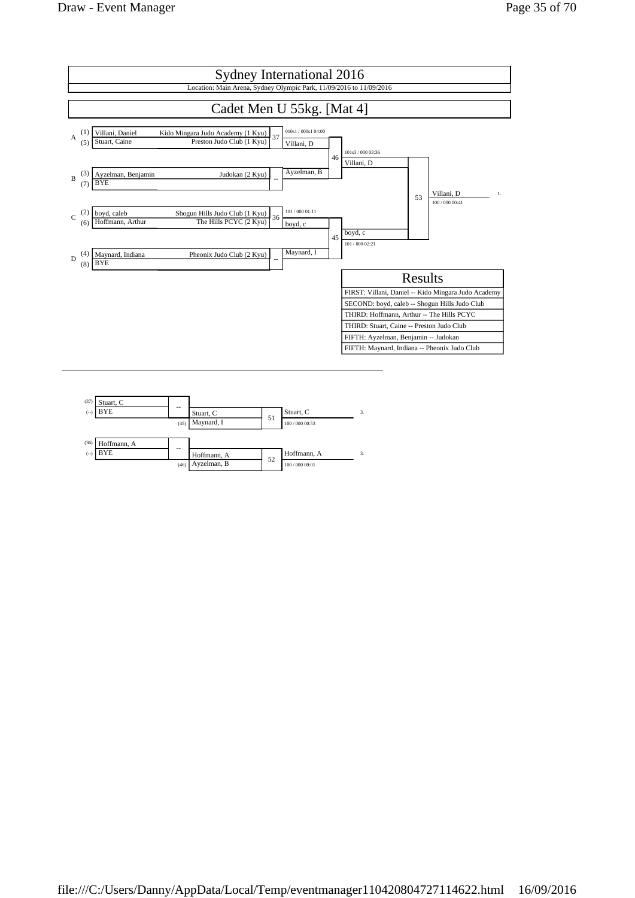

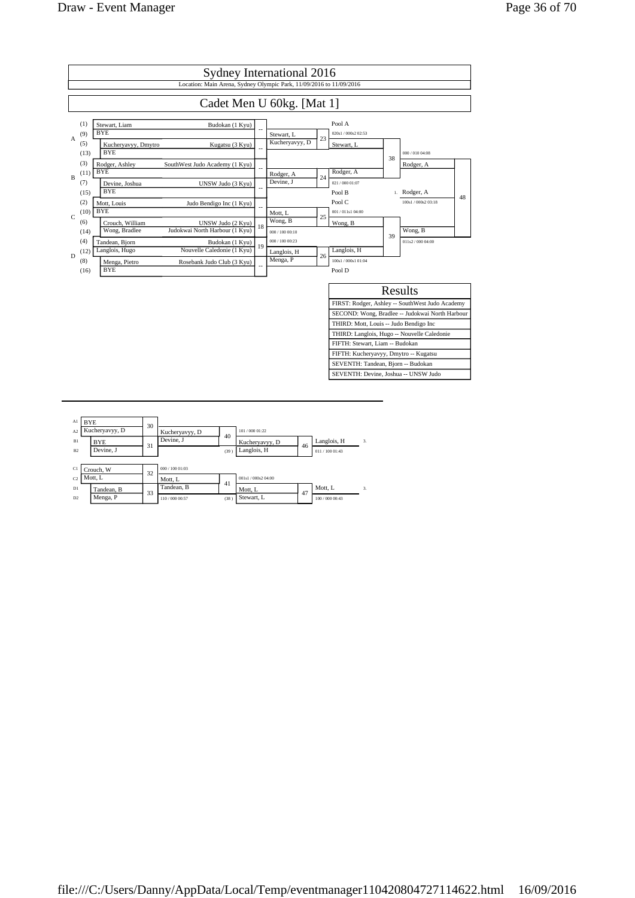

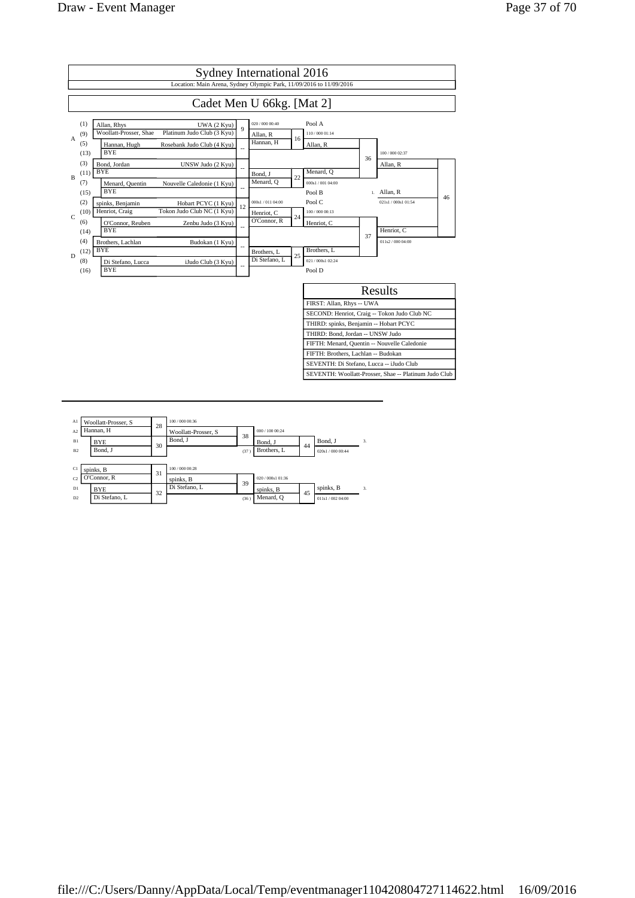

| A1             | Woollatt-Prosser, S | 28 | 100 / 000 00:36     |      |                 |    |                   |              |
|----------------|---------------------|----|---------------------|------|-----------------|----|-------------------|--------------|
| A <sub>2</sub> | Hannan, H           |    | Woollatt-Prosser, S | 38   | 000 / 100 00:24 |    |                   |              |
| B1             | <b>BYE</b>          | 30 | Bond, J             |      | Bond. J         | 44 | Bond. J           | 3.           |
| B2             | Bond. J             |    |                     | (37) | Brothers, L     |    | 020s1 / 000 00:44 |              |
|                |                     |    |                     |      |                 |    |                   |              |
| C1             | spinks, B           | 31 | 100 / 000 00:28     |      |                 |    |                   |              |
| C <sub>2</sub> | O'Connor, R         |    | spinks, B           | 39   | 020/000s1 01:36 |    |                   |              |
| D1             | <b>BYE</b>          | 32 | Di Stefano, L       |      | spinks, B       | 45 | spinks, B         | $\mathbf{3}$ |
| D2             | Di Stefano. L       |    |                     | (36) | Menard, O       |    | 011s1 / 002 04:00 |              |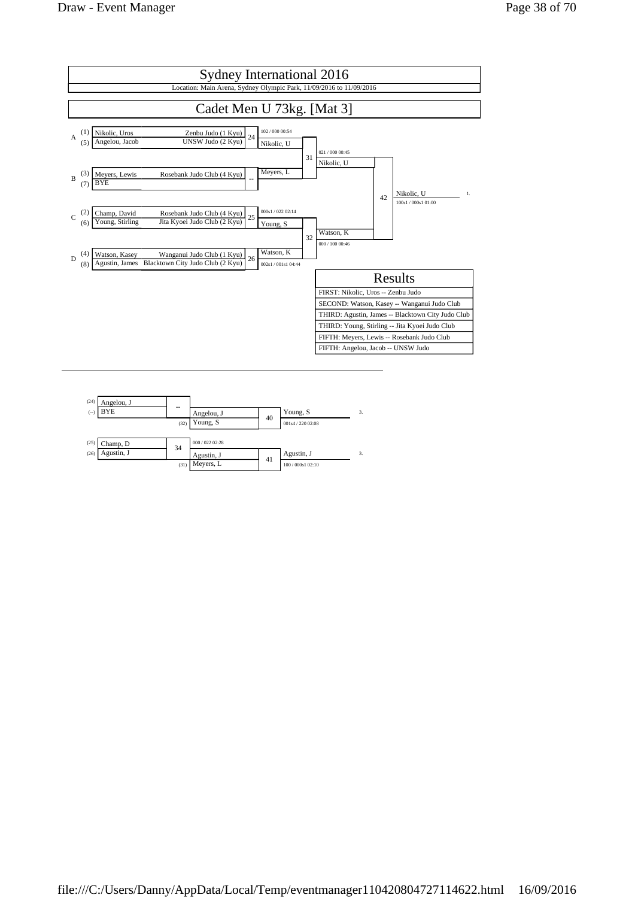

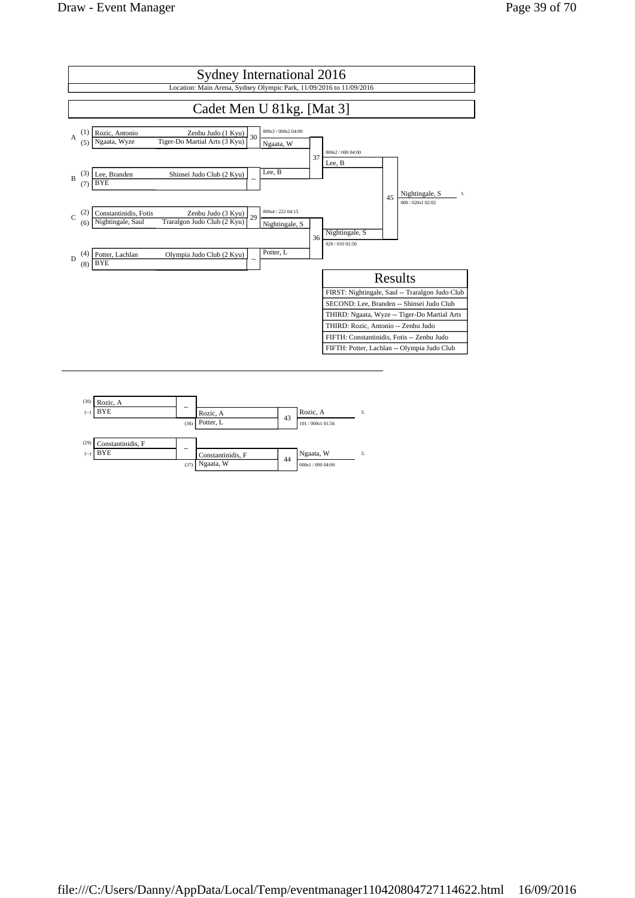

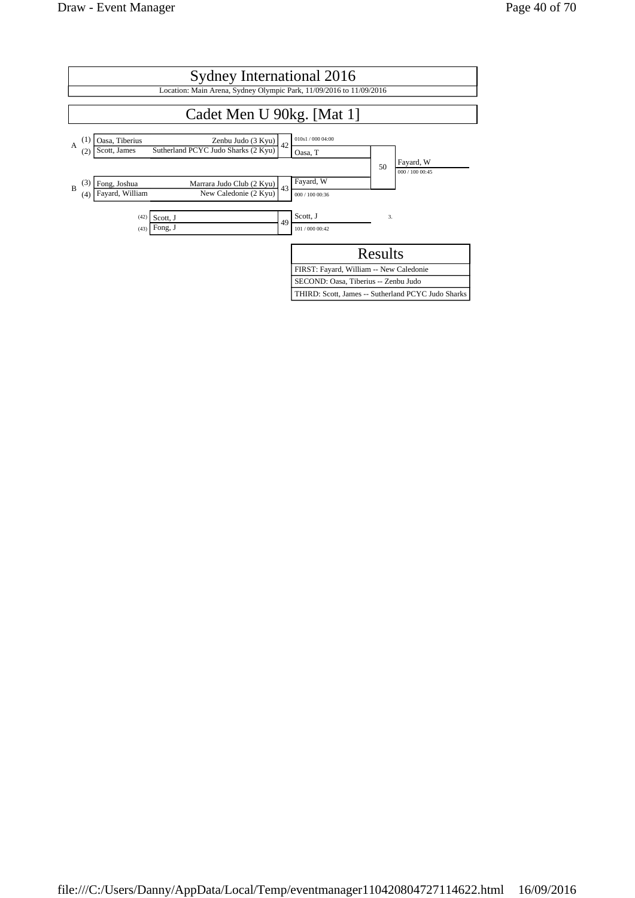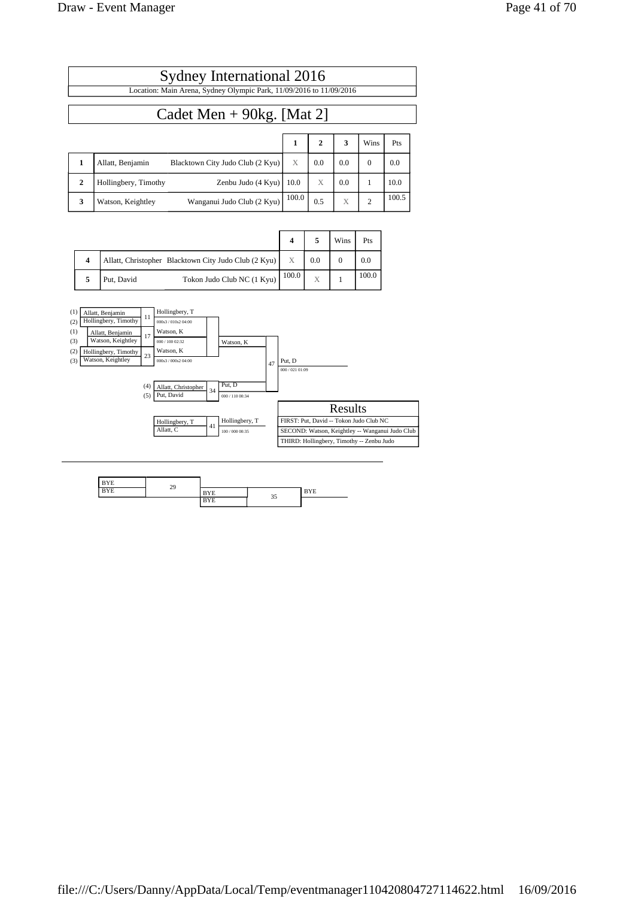|   | Sydney International 2016                                           |   |              |     |      |      |  |
|---|---------------------------------------------------------------------|---|--------------|-----|------|------|--|
|   | Location: Main Arena, Sydney Olympic Park, 11/09/2016 to 11/09/2016 |   |              |     |      |      |  |
|   | Cadet Men + $90kg$ . [Mat 2]                                        |   |              |     |      |      |  |
|   |                                                                     |   | $\mathbf{2}$ | 3   | Wins | Pts  |  |
| 1 | Blacktown City Judo Club (2 Kyu)<br>Allatt, Benjamin                | X | 0.0          | 0.0 | 0    | 0.0  |  |
|   | Zenbu Judo $(4$ Kyu $)$   10.0<br>Hollingbery, Timothy              |   | X            | 0.0 |      | 10.0 |  |

**3** Watson, Keightley Wanganui Judo Club (2 Kyu)  $\begin{array}{|l|l|}\n100.0 & 0.5 & \times & 2\n\end{array}$  100.5

|   |                                                      |                            |                  |     | Wins | Pts   |
|---|------------------------------------------------------|----------------------------|------------------|-----|------|-------|
| 4 | Allatt, Christopher Blacktown City Judo Club (2 Kyu) |                            | $\boldsymbol{X}$ | 0.0 |      | 0.0   |
|   | Put, David                                           | Tokon Judo Club NC (1 Kyu) | 100.0            | X   |      | 100.0 |



| <b>MARKET</b> | $\gamma$ <sup><math>\alpha</math></sup> |     |   |  |
|---------------|-----------------------------------------|-----|---|--|
| ---<br>. .    | 42                                      | . . |   |  |
|               |                                         |     | - |  |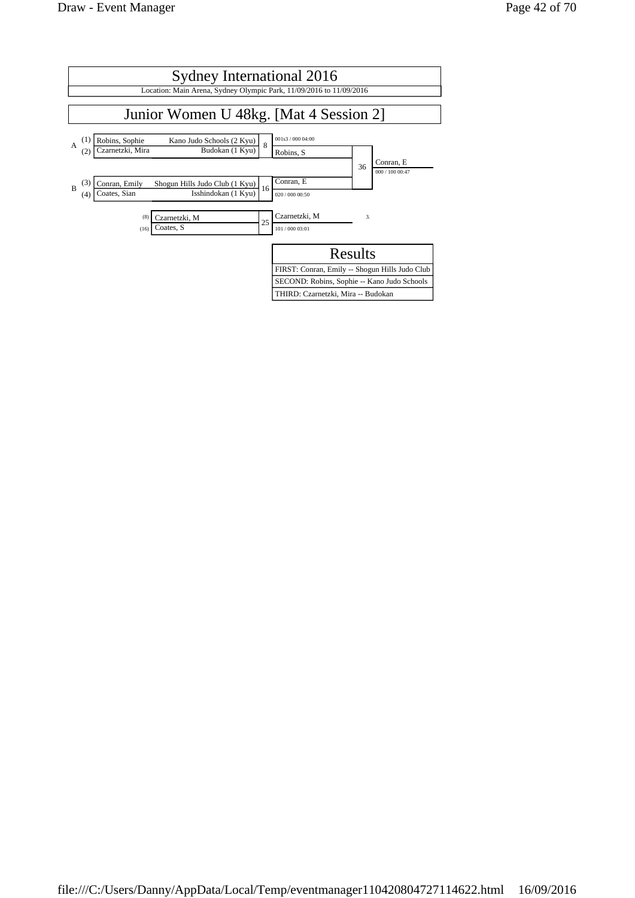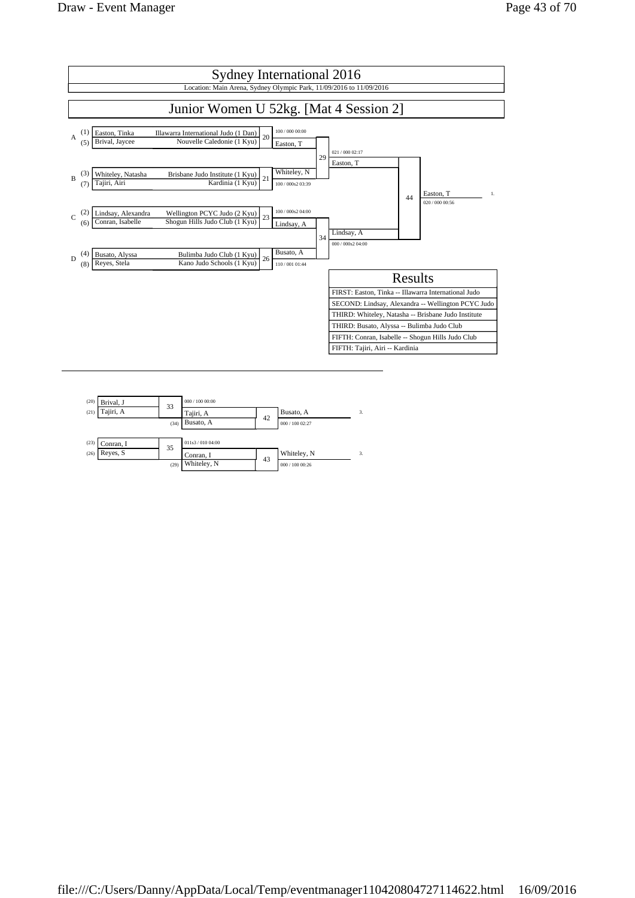

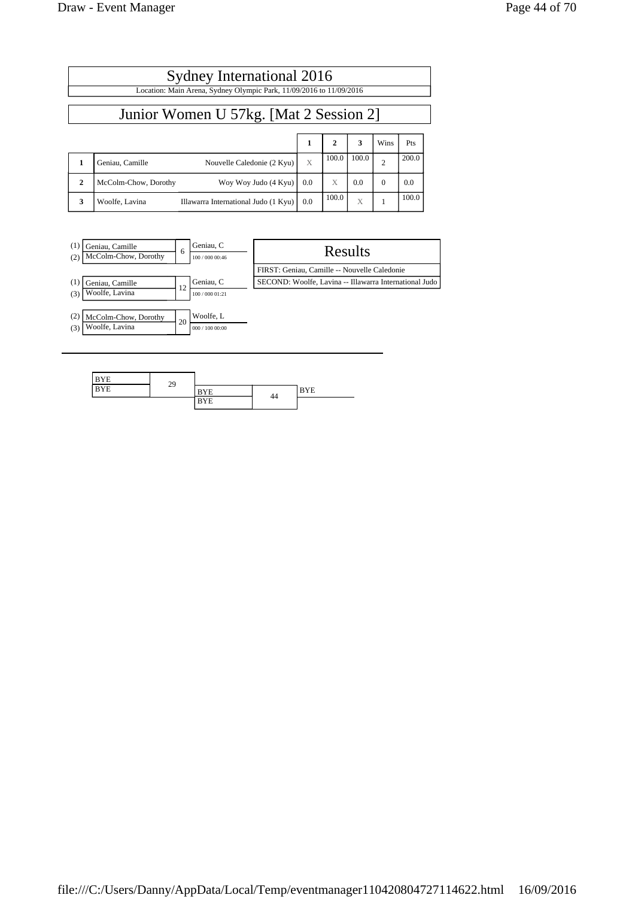file:///C:/Users/Danny/AppData/Local/Temp/eventmanager110420804727114622.html 16/09/2016

| Page 44 of 7 |  |
|--------------|--|
|              |  |

| Sydney International 2016<br>Location: Main Arena, Sydney Olympic Park, 11/09/2016 to 11/09/2016 |                                                        |     |              |       |                |       |  |
|--------------------------------------------------------------------------------------------------|--------------------------------------------------------|-----|--------------|-------|----------------|-------|--|
| Junior Women U 57kg. [Mat 2 Session 2]                                                           |                                                        |     |              |       |                |       |  |
|                                                                                                  |                                                        | 1   | $\mathbf{2}$ | 3     | Wins           | Pts   |  |
| $\mathbf{1}$                                                                                     | Geniau, Camille<br>Nouvelle Caledonie (2 Kyu)          | X   | 100.0        | 100.0 | $\overline{c}$ | 200.0 |  |
| $\mathbf{2}$                                                                                     | Woy Woy Judo (4 Kyu)<br>McColm-Chow, Dorothy           | 0.0 | X            | 0.0   | $\Omega$       | 0.0   |  |
| 3                                                                                                | Woolfe, Lavina<br>Illawarra International Judo (1 Kyu) | 0.0 | 100.0        | X     |                | 100.0 |  |

| (1)<br>Geniau, Camille<br>McColm-Chow, Dorothy<br>(2) | <sub>6</sub> | Geniau, C<br>100 / 000 00:46 | Results                                                |
|-------------------------------------------------------|--------------|------------------------------|--------------------------------------------------------|
|                                                       |              |                              | FIRST: Geniau, Camille -- Nouvelle Caledonie           |
| (1)<br>Geniau, Camille<br>Woolfe, Lavina<br>(3)       | 12           | Geniau, C<br>100 / 000 01:21 | SECOND: Woolfe, Lavina -- Illawarra International Judo |
| (2)<br>McColm-Chow, Dorothy<br>Woolfe, Lavina<br>(3)  | 20           | Woolfe, L<br>000 / 100 00:00 |                                                        |

| <b>BYE</b> | 29 |            |    |            |
|------------|----|------------|----|------------|
| <b>BYE</b> |    | <b>BYE</b> |    | <b>BYE</b> |
|            |    | <b>BYE</b> | 44 |            |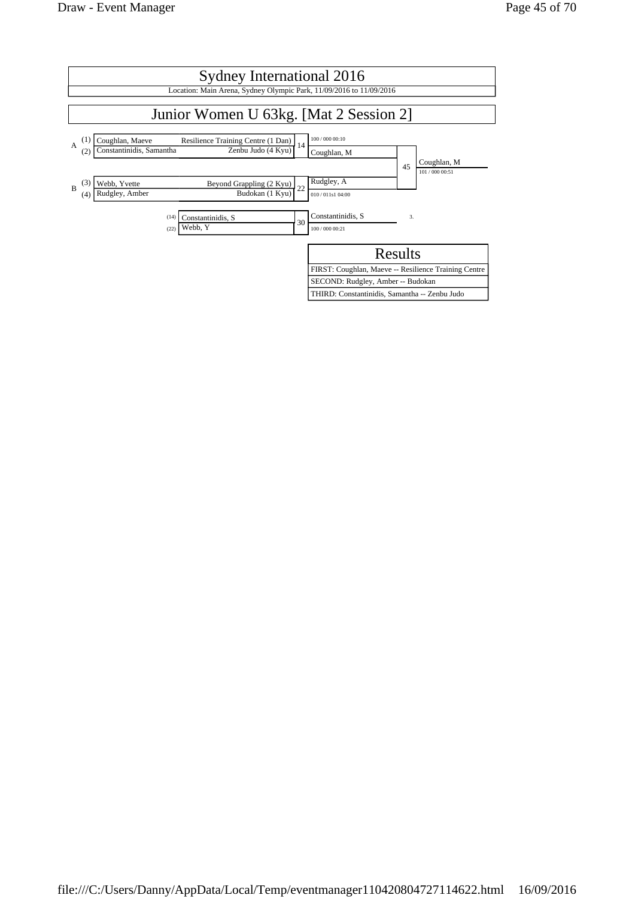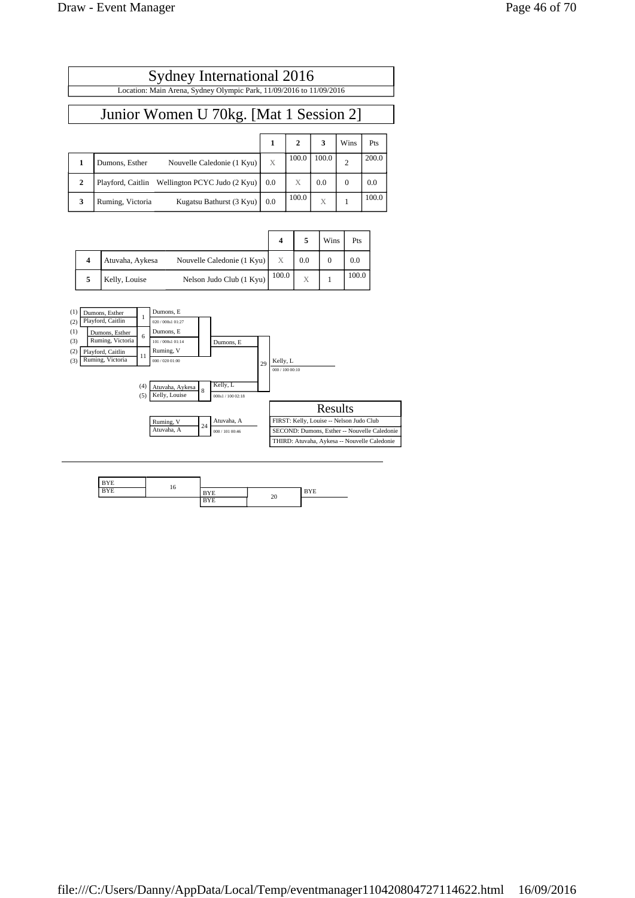$\Gamma$ 

| Sydney International 2016                                           |     |                |       |                |       |
|---------------------------------------------------------------------|-----|----------------|-------|----------------|-------|
| Location: Main Arena, Sydney Olympic Park, 11/09/2016 to 11/09/2016 |     |                |       |                |       |
|                                                                     |     |                |       |                |       |
| Junior Women U 70kg. [Mat 1 Session 2]                              |     |                |       |                |       |
|                                                                     |     |                |       |                |       |
|                                                                     | 1   | $\overline{2}$ | 3     | Wins           | Pts   |
| Nouvelle Caledonie (1 Kyu)<br>Dumons, Esther                        | X   | 100.0          | 100.0 | $\overline{2}$ | 200.0 |
| Playford, Caitlin Wellington PCYC Judo (2 Kyu)                      | 0.0 |                | 0.0   | $\Omega$       | 0.0   |

**3** Ruming, Victoria Kugatsu Bathurst (3 Kyu) 0.0 100.0 X 1 100.0

|  |                 |                            |       |     | Wins | Pts   |
|--|-----------------|----------------------------|-------|-----|------|-------|
|  | Atuvaha, Aykesa | Nouvelle Caledonie (1 Kyu) | X     | 0.0 |      | 0.0   |
|  | Kelly, Louise   | Nelson Judo Club (1 Kyu)   | 100.0 | X   |      | 100.0 |



| ---<br>. . | 10 | E | 20 | <b>XTE</b><br>. .<br>≖<br>- - |
|------------|----|---|----|-------------------------------|
|            |    |   |    |                               |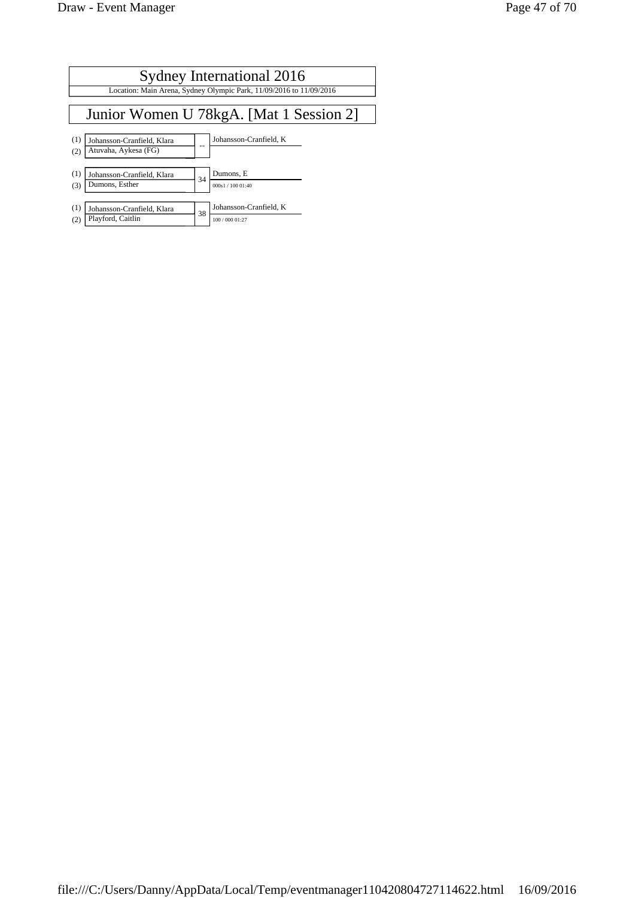|            | Sydney International 2016                                           |    |                                           |  |  |  |  |  |
|------------|---------------------------------------------------------------------|----|-------------------------------------------|--|--|--|--|--|
|            | Location: Main Arena, Sydney Olympic Park, 11/09/2016 to 11/09/2016 |    |                                           |  |  |  |  |  |
|            |                                                                     |    |                                           |  |  |  |  |  |
|            | Junior Women U 78kgA. [Mat 1 Session 2]                             |    |                                           |  |  |  |  |  |
| (1)<br>(2) | Johansson-Cranfield, Klara<br>Atuvaha, Aykesa (FG)                  |    | Johansson-Cranfield, K                    |  |  |  |  |  |
| (1)<br>(3) | Johansson-Cranfield, Klara<br>Dumons, Esther                        | 34 | Dumons, E<br>000s1 / 100 01:40            |  |  |  |  |  |
| (1)<br>(2) | Johansson-Cranfield, Klara<br>Playford, Caitlin                     | 38 | Johansson-Cranfield, K<br>100 / 000 01:27 |  |  |  |  |  |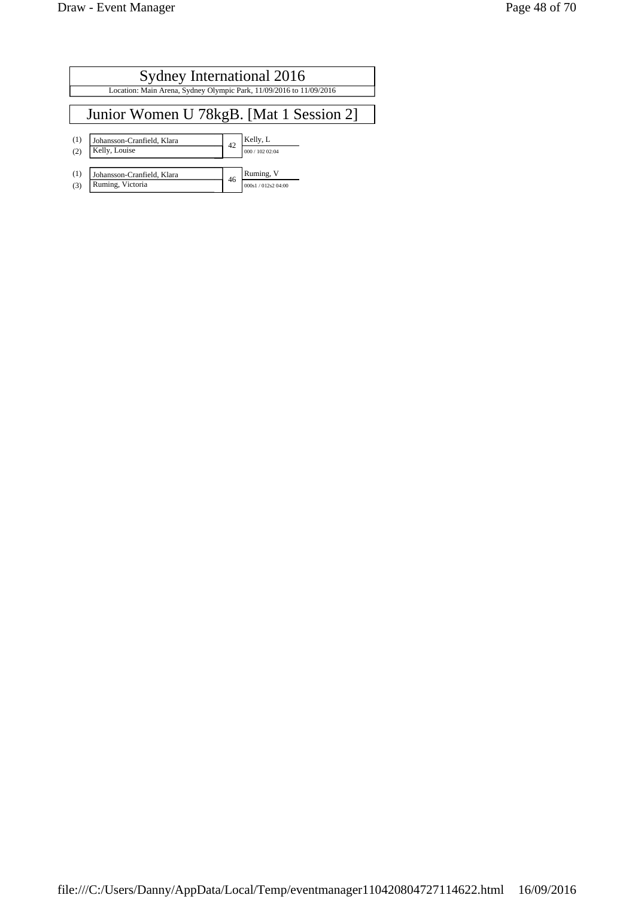|            | Sydney International 2016                                           |    |                                  |  |  |  |  |
|------------|---------------------------------------------------------------------|----|----------------------------------|--|--|--|--|
|            | Location: Main Arena, Sydney Olympic Park, 11/09/2016 to 11/09/2016 |    |                                  |  |  |  |  |
|            | Junior Women U 78kgB. [Mat 1 Session 2]                             |    |                                  |  |  |  |  |
| (1)<br>(2) | Johansson-Cranfield, Klara<br>Kelly, Louise                         | 42 | Kelly, L<br>000 / 102 02:04      |  |  |  |  |
| (1)<br>(3) | Johansson-Cranfield, Klara<br>Ruming, Victoria                      | 46 | Ruming, V<br>000s1 / 012s2 04:00 |  |  |  |  |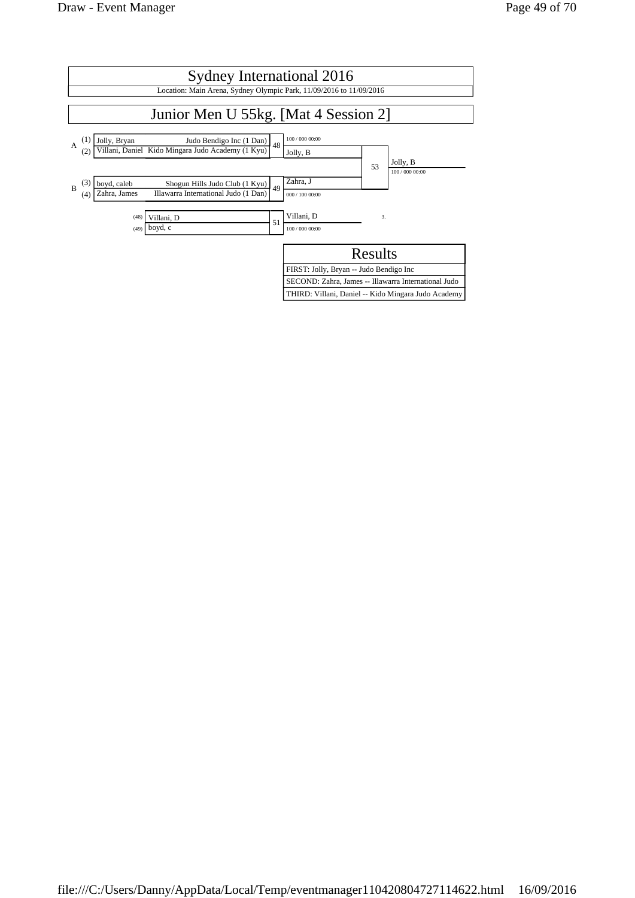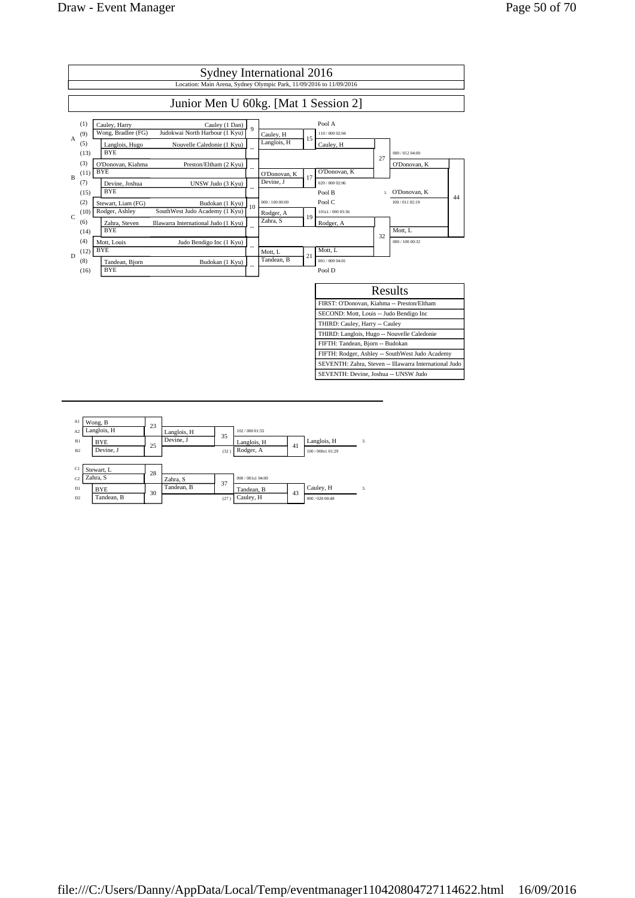

| A1<br>A <sub>2</sub> | Wong, B<br>Langlois, H | 23 | Langlois, H |      | 102 / 000 01:55   |    |                   |    |
|----------------------|------------------------|----|-------------|------|-------------------|----|-------------------|----|
| B1                   | <b>BYE</b>             | 25 | Devine, J   | 35   | Langlois, H       | 41 | Langlois, H       | 3. |
| B <sub>2</sub>       | Devine. J              |    |             | (32) | Rodger, A         |    | 100 / 000s1 01:29 |    |
|                      |                        |    |             |      |                   |    |                   |    |
| C1                   | Stewart, L             | 28 |             |      |                   |    |                   |    |
| C <sub>2</sub>       | Zahra, S               |    | Zahra, S    | 37   | 000 / 001s1 04:00 |    |                   |    |
| D1                   | <b>BYE</b>             | 30 | Tandean, B  |      | Tandean, B        | 43 | Cauley, H         | 3. |
| D <sub>2</sub>       | Tandean, B             |    |             | (27) | Cauley, H         |    | 000 / 020 00:48   |    |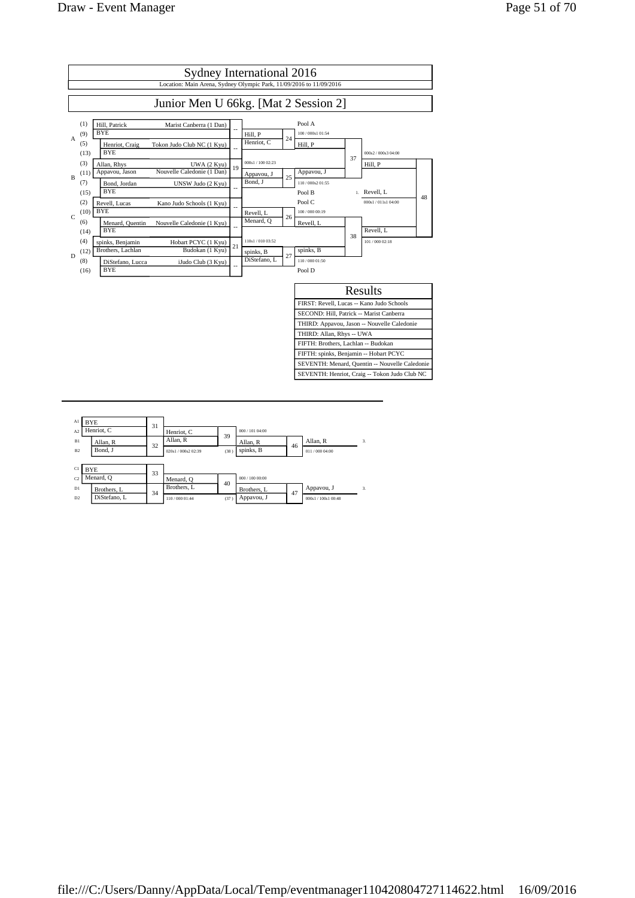

| Al<br>A <sub>2</sub> | <b>BYE</b> | Henriot, C                  | 31 | Henriot, C                    |            | 000 / 101 04:00           |    |                                   |              |
|----------------------|------------|-----------------------------|----|-------------------------------|------------|---------------------------|----|-----------------------------------|--------------|
| B1<br>B2             |            | Allan, R<br>Bond, J         | 32 | Allan, R<br>020s1/000s2 02:39 | 39<br>(38) | Allan, R<br>spinks, B     | 46 | Allan, R<br>011/000 04:00         | 3.           |
|                      |            |                             |    |                               |            |                           |    |                                   |              |
| C1<br>C <sub>2</sub> | <b>BYE</b> | Menard, O                   | 33 | Menard, O                     | 40         | 000 / 100 00:00           |    |                                   |              |
| D1<br>D2             |            | Brothers, L<br>DiStefano, L | 34 | Brothers, L<br>110/000 01:44  | (37)       | Brothers, L<br>Appavou, J | 47 | Appavou, J<br>000s1 / 100s1 00:48 | $\mathbf{3}$ |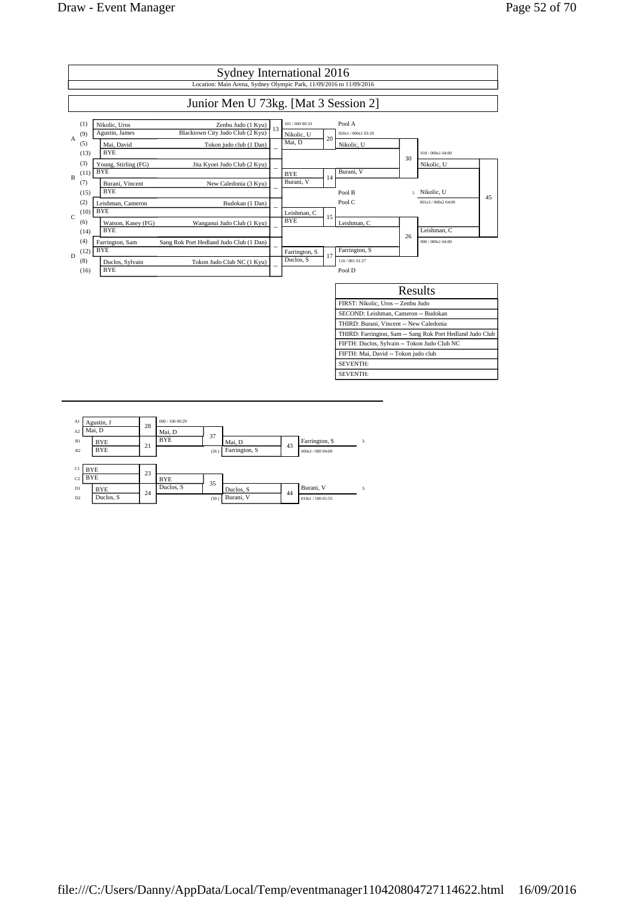

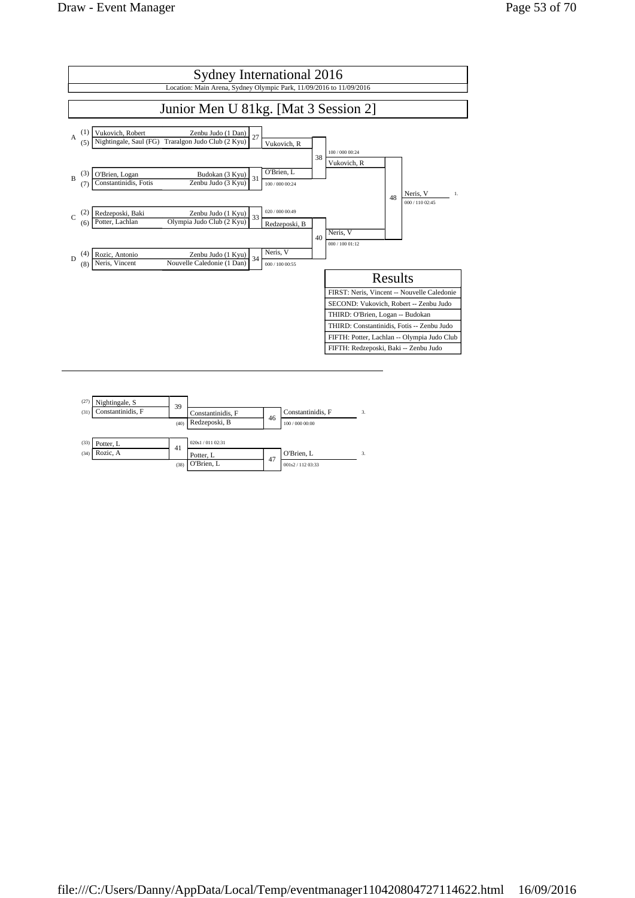

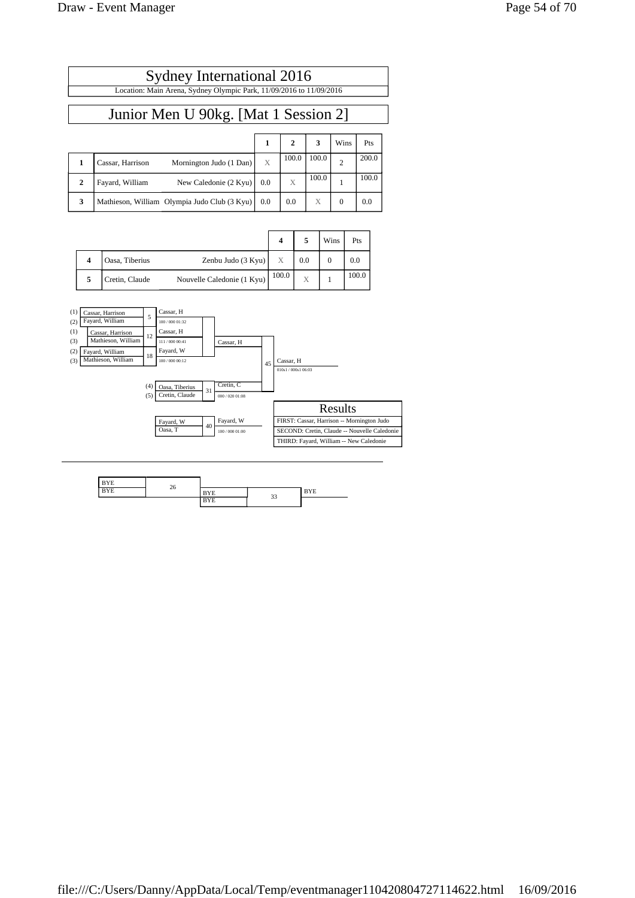| Sydney International 2016                                           |  |
|---------------------------------------------------------------------|--|
| Location: Main Arena, Sydney Olympic Park, 11/09/2016 to 11/09/2016 |  |
|                                                                     |  |

# Junior Men U 90kg. [Mat 1 Session 2]

|              |                                              |     |       | 3     | Wins | Pts   |
|--------------|----------------------------------------------|-----|-------|-------|------|-------|
|              | Mornington Judo (1 Dan)<br>Cassar, Harrison  | X   | 100.0 | 100.0 |      | 200.0 |
| $\mathbf{2}$ | New Caledonie (2 Kyu)<br>Fayard, William     | 0.0 | X     | 100.0 |      | 100.0 |
| 3            | Mathieson, William Olympia Judo Club (3 Kyu) | 0.0 | 0.0   | X     | 0    | 0.0   |

|                     |                |                            |       |     | Wins | Pts   |
|---------------------|----------------|----------------------------|-------|-----|------|-------|
| $\overline{\bf{4}}$ | Oasa, Tiberius | Zenbu Judo $(3 Kyu)$       | X     | 0.0 |      | 0.0   |
|                     | Cretin, Claude | Nouvelle Caledonie (1 Kyu) | 100.0 | Х   |      | 100.0 |



| <b>Service</b><br>YΕ | $\sim$ |                        |        |                            |
|----------------------|--------|------------------------|--------|----------------------------|
| . .                  | 26     | ΥE                     | $\sim$ | <b>MARKET</b><br>БĭЕ<br>-- |
|                      |        | $x \rightarrow$<br>BYE | 33     |                            |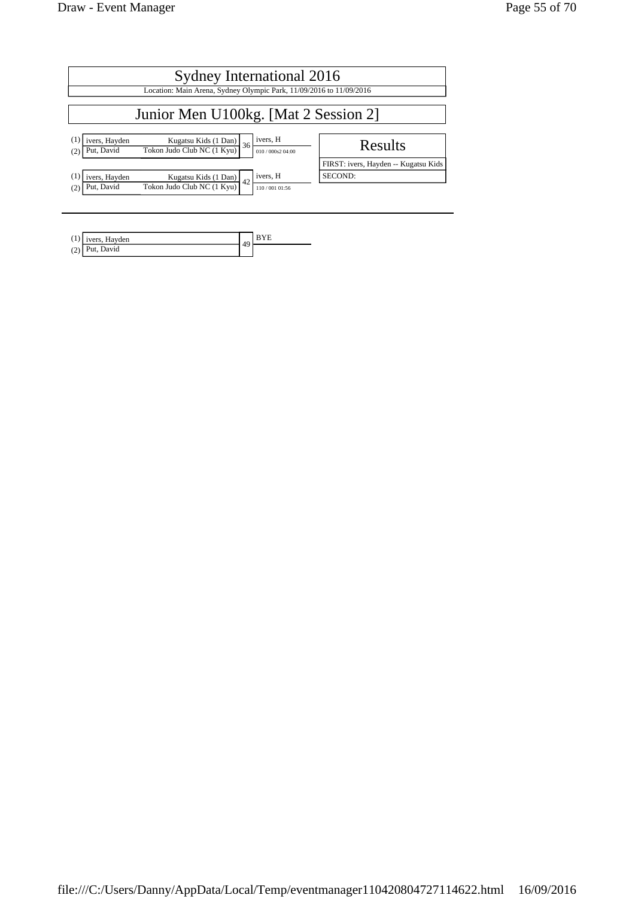| Sydney International 2016                                                                                                                                              |                                      |  |  |  |  |
|------------------------------------------------------------------------------------------------------------------------------------------------------------------------|--------------------------------------|--|--|--|--|
| Location: Main Arena, Sydney Olympic Park, 11/09/2016 to 11/09/2016                                                                                                    |                                      |  |  |  |  |
| Junior Men U100kg. [Mat 2 Session 2]                                                                                                                                   |                                      |  |  |  |  |
| ivers, H<br>(1)<br>ivers, Hayden<br>$\frac{\text{Kugatsu Kids} (1 \text{ Dan})}{\text{Tokon Judo Club NC} (1 \text{ Kyu})}$ 36<br>Put, David<br>(2)<br>010/000s2 04:00 | Results                              |  |  |  |  |
|                                                                                                                                                                        | FIRST: ivers, Hayden -- Kugatsu Kids |  |  |  |  |
| ivers, H<br>(1)<br>ivers, Hayden<br>Kugatsu Kids (1 Dan) $42$                                                                                                          | SECOND:                              |  |  |  |  |
| Tokon Judo Club NC (1 Kyu)<br>Put, David<br>(2)<br>110/001 01:56                                                                                                       |                                      |  |  |  |  |
|                                                                                                                                                                        |                                      |  |  |  |  |

|            | Hayden<br>$"vers,$ . | ΔO |  |
|------------|----------------------|----|--|
| (2)<br>(2) | David<br>Put,        | ., |  |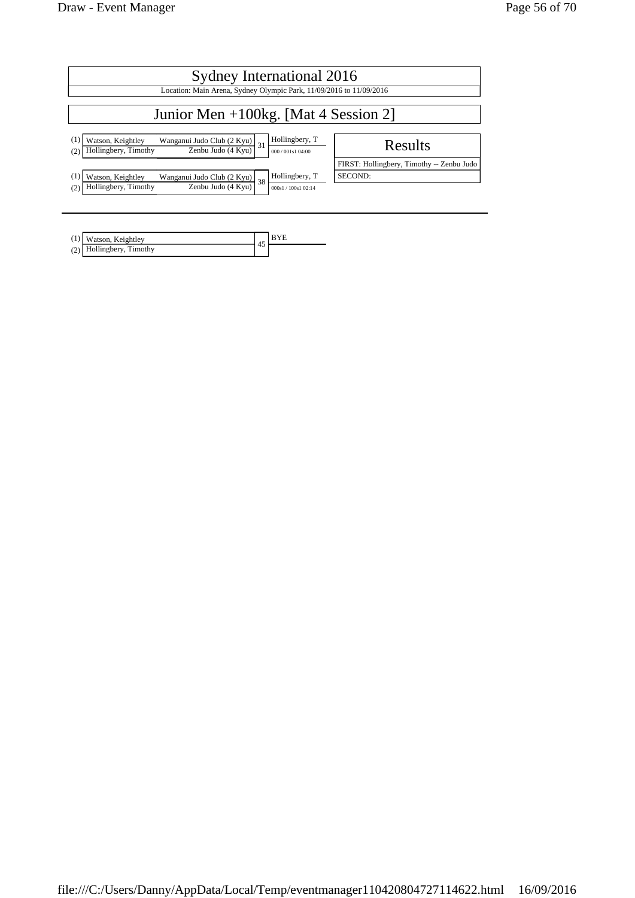| Sydney International 2016                                                                                                                              |                                           |  |  |  |  |
|--------------------------------------------------------------------------------------------------------------------------------------------------------|-------------------------------------------|--|--|--|--|
| Location: Main Arena, Sydney Olympic Park, 11/09/2016 to 11/09/2016                                                                                    |                                           |  |  |  |  |
| Junior Men $+100$ kg. [Mat 4 Session 2]                                                                                                                |                                           |  |  |  |  |
| Hollingbery, T<br>Watson, Keightley<br>Wangan <u>ui Judo Club (2 Kyu)</u> 31<br>Zenbu Judo (4 Kyu)<br>Hollingbery, Timothy<br>(2)<br>000 / 001s1 04:00 | Results                                   |  |  |  |  |
|                                                                                                                                                        | FIRST: Hollingbery, Timothy -- Zenbu Judo |  |  |  |  |
| Hollingbery, T<br>Watson, Keightley<br>Wanganui Judo Club $(2$ Kyu) $38$                                                                               | SECOND:                                   |  |  |  |  |
| Zenbu Judo (4 Kyu)<br>Hollingbery, Timothy<br>(2)<br>000s1 / 100s1 02:14                                                                               |                                           |  |  |  |  |
|                                                                                                                                                        |                                           |  |  |  |  |

| (1) Watson, Keightley      |  |
|----------------------------|--|
| $(2)$ Hollingbery, Timothy |  |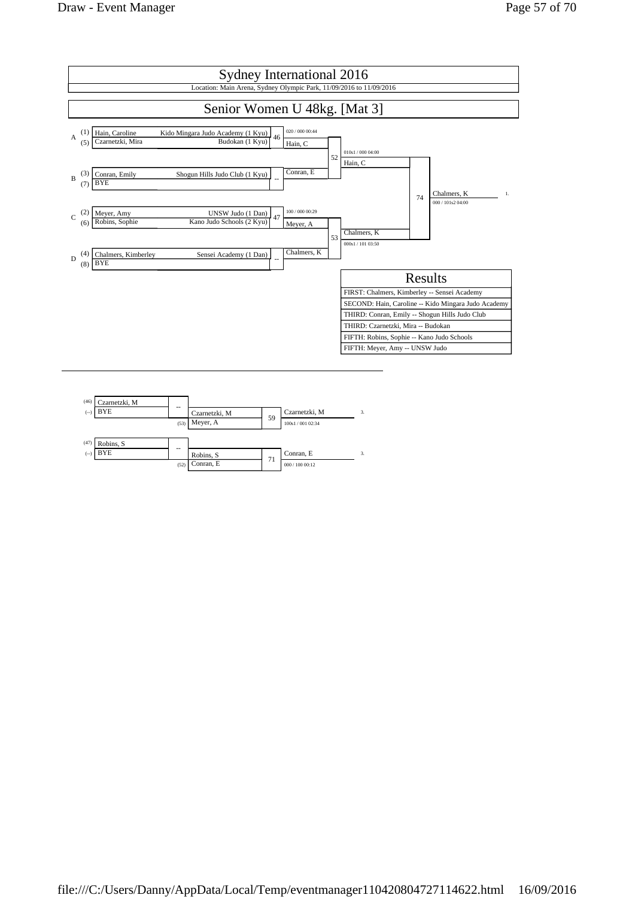

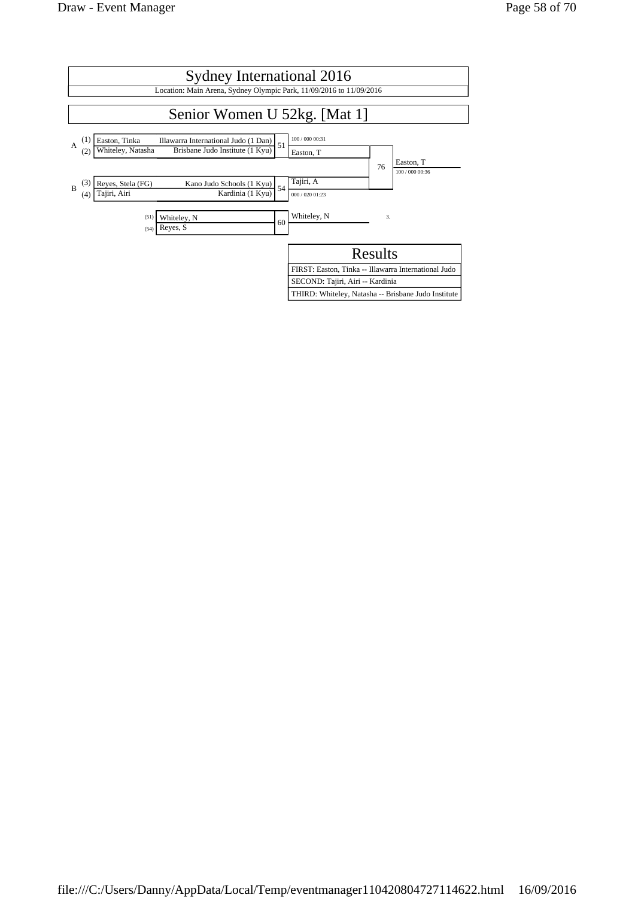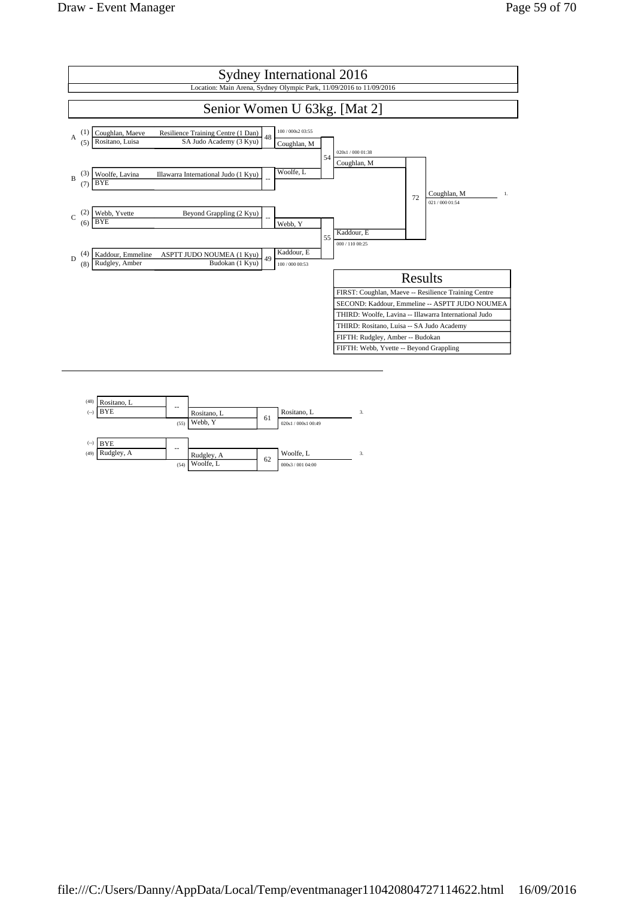

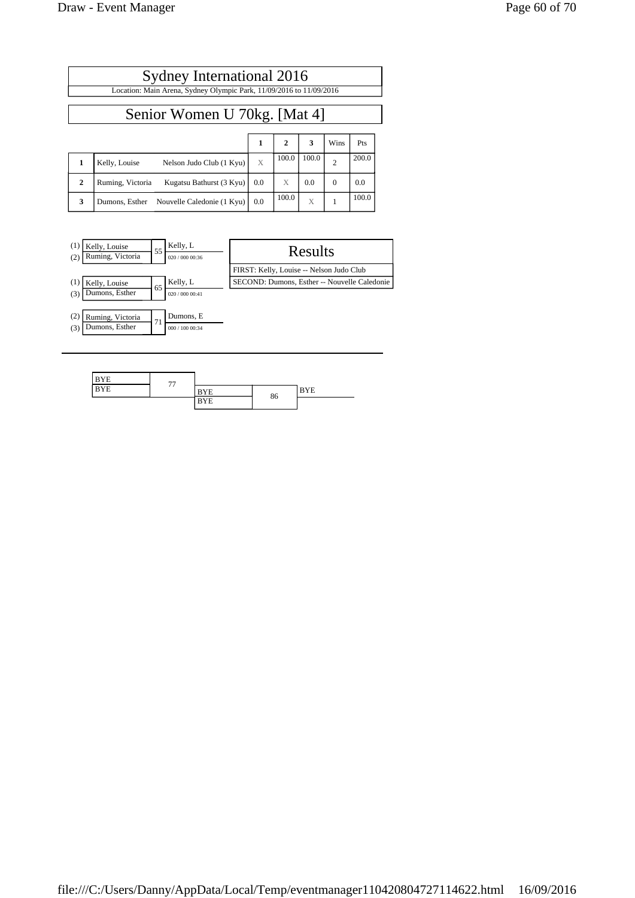$\mathsf{l}$ 

|              | Sydney International 2016                                           |     |              |       |                |       |  |  |
|--------------|---------------------------------------------------------------------|-----|--------------|-------|----------------|-------|--|--|
|              | Location: Main Arena, Sydney Olympic Park, 11/09/2016 to 11/09/2016 |     |              |       |                |       |  |  |
|              | Senior Women U 70kg. [Mat 4]                                        |     |              |       |                |       |  |  |
|              |                                                                     | 1   | $\mathbf{2}$ | 3     | Wins           | Pts   |  |  |
| 1            | Kelly, Louise<br>Nelson Judo Club (1 Kyu)                           | X   | 100.0        | 100.0 | $\overline{2}$ | 200.0 |  |  |
| $\mathbf{2}$ | Kugatsu Bathurst (3 Kyu)<br>Ruming, Victoria                        | 0.0 | X            | 0.0   | $\Omega$       | 0.0   |  |  |
| 3            | Dumons, Esther Nouvelle Caledonie (1 Kyu)                           | 0.0 | 100.0        | X     |                | 100.0 |  |  |



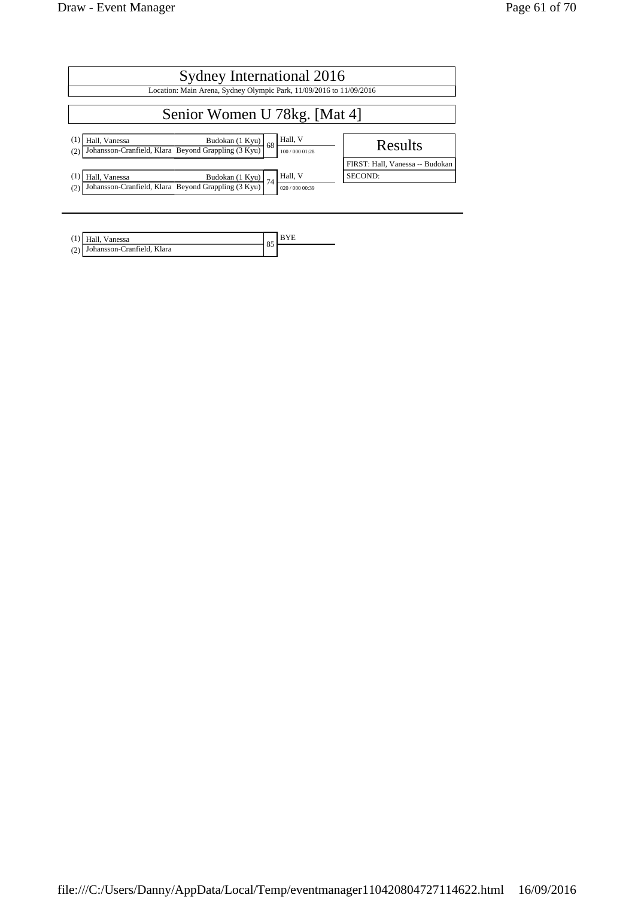| Sydney International 2016                                                                                                                              |                                 |  |  |  |  |  |  |  |
|--------------------------------------------------------------------------------------------------------------------------------------------------------|---------------------------------|--|--|--|--|--|--|--|
| Location: Main Arena, Sydney Olympic Park, 11/09/2016 to 11/09/2016                                                                                    |                                 |  |  |  |  |  |  |  |
| Senior Women U 78kg. [Mat 4]                                                                                                                           |                                 |  |  |  |  |  |  |  |
| Hall, V<br>$\left(1\right)$<br>Hall, Vanessa<br>Budokan (1 Kyu)<br>68<br>Johansson-Cranfield, Klara Beyond Grappling (3 Kyu)<br>(2)<br>100 / 000 01:28 | <b>Results</b>                  |  |  |  |  |  |  |  |
|                                                                                                                                                        | FIRST: Hall, Vanessa -- Budokan |  |  |  |  |  |  |  |
| Hall, V<br>(1)<br>Hall, Vanessa<br>Budokan (1 Kyu)<br>74                                                                                               | SECOND:                         |  |  |  |  |  |  |  |
| Johansson-Cranfield, Klara Beyond Grappling (3 Kyu)<br>(2)<br>020 / 000 00:39                                                                          |                                 |  |  |  |  |  |  |  |
|                                                                                                                                                        |                                 |  |  |  |  |  |  |  |

| Hall, Vanessa                  | OC |  |
|--------------------------------|----|--|
| (2) Johansson-Cranfield, Klara | 82 |  |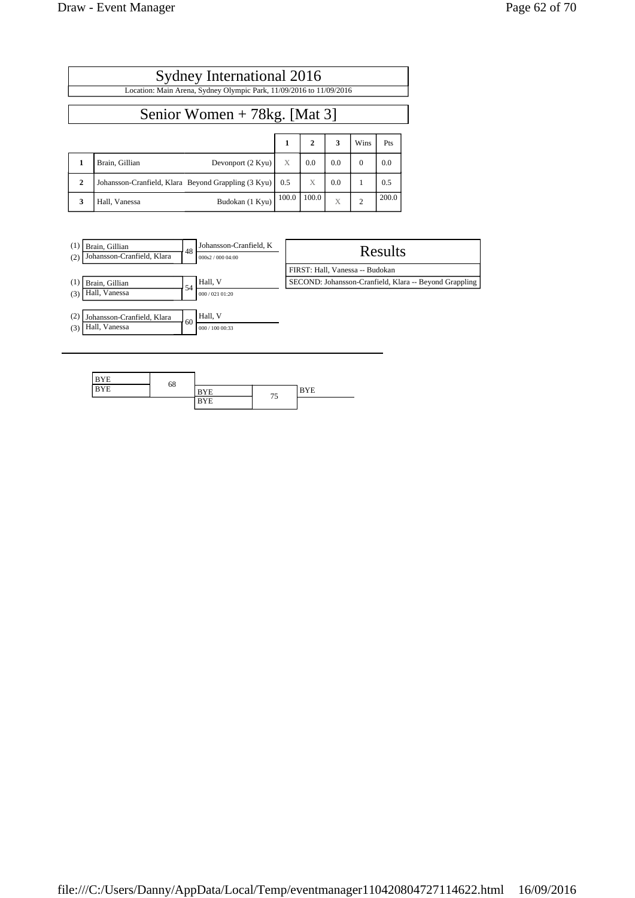| Page 62 of 70 |  |  |  |  |
|---------------|--|--|--|--|
|---------------|--|--|--|--|

|                                                                     | Sydney International 2016                           |       |              |              |                |       |  |  |  |  |
|---------------------------------------------------------------------|-----------------------------------------------------|-------|--------------|--------------|----------------|-------|--|--|--|--|
| Location: Main Arena, Sydney Olympic Park, 11/09/2016 to 11/09/2016 |                                                     |       |              |              |                |       |  |  |  |  |
|                                                                     | Senior Women $+ 78$ kg. [Mat 3]                     |       |              |              |                |       |  |  |  |  |
|                                                                     |                                                     | 1     | $\mathbf{2}$ | 3            | Wins           | Pts   |  |  |  |  |
| 1                                                                   | Brain, Gillian<br>Devonport (2 Kyu)                 | X     | 0.0          | 0.0          | $\Omega$       | 0.0   |  |  |  |  |
| $\mathbf{2}$                                                        | Johansson-Cranfield, Klara Beyond Grappling (3 Kyu) | 0.5   | X            | 0.0          | 1              | 0.5   |  |  |  |  |
| 3                                                                   | Budokan (1 Kyu)<br>Hall, Vanessa                    | 100.0 | 100.0        | $\mathbf{X}$ | $\overline{c}$ | 200.0 |  |  |  |  |



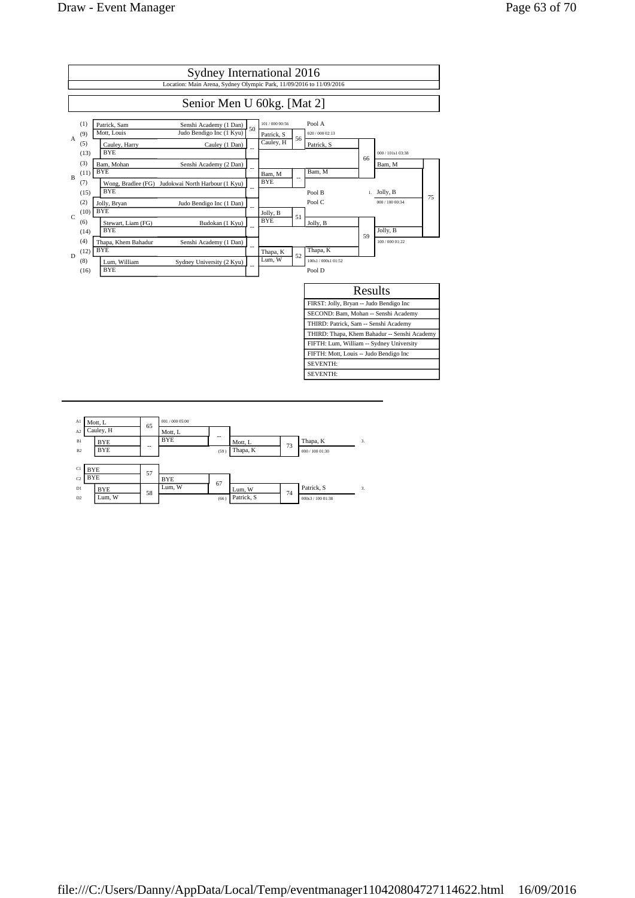

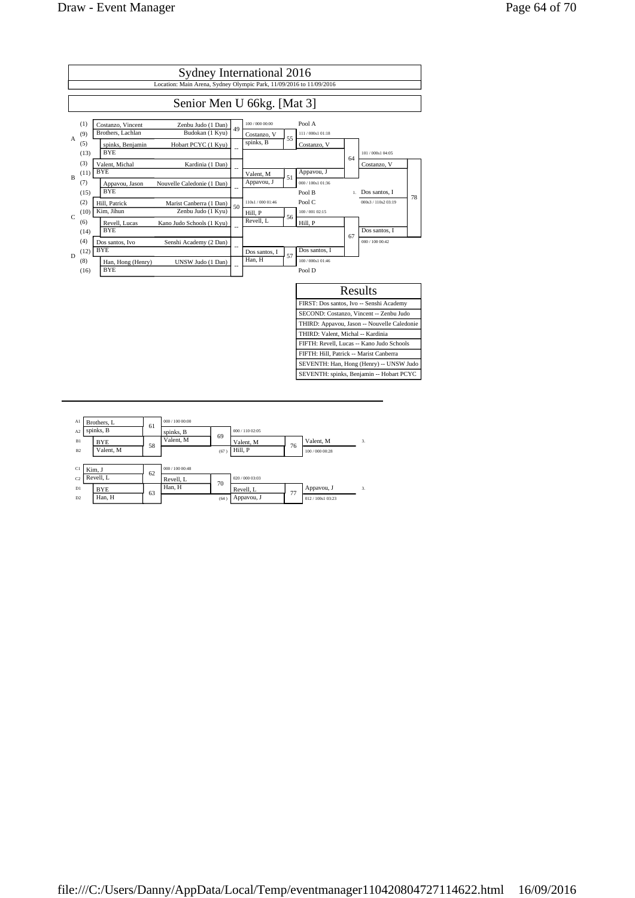

| A1             | Brothers, L | 61 | 000 / 100 00:00 |      |                 |    |                 |                         |
|----------------|-------------|----|-----------------|------|-----------------|----|-----------------|-------------------------|
| A <sub>2</sub> | spinks, B   |    | spinks, B       | 69   | 000 / 110 02:05 |    |                 |                         |
| B1             | <b>BYE</b>  | 58 | Valent, M       |      | Valent, M       |    | Valent, M       | 3.                      |
| B2             | Valent, M   |    |                 | (67) | Hill, P         | 76 | 100 / 000 00:28 |                         |
|                |             |    |                 |      |                 |    |                 |                         |
| C1             | Kim. J      | 62 | 000 / 100 00:48 |      |                 |    |                 |                         |
| C <sub>2</sub> | Revell, L   |    | Revell, L       |      | 020 / 000 03:03 |    |                 |                         |
| D1             | <b>BYE</b>  |    | Han, H          | 70   | Revell, L       |    | Appavou, J      | $\overline{\mathbf{3}}$ |
| D2             | Han. H      | 63 |                 | (64) | Appavou, J      | 77 | 012/100s1 03:23 |                         |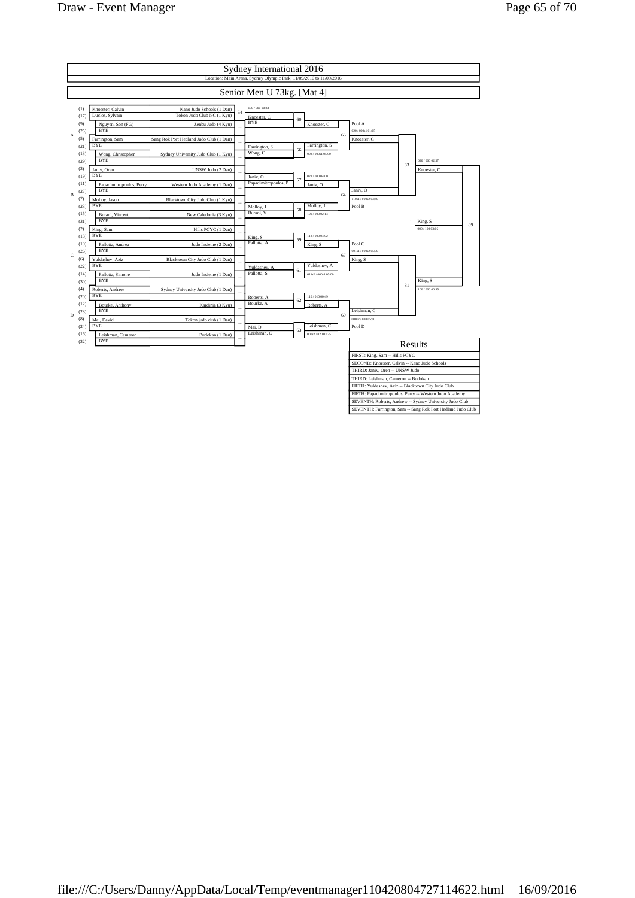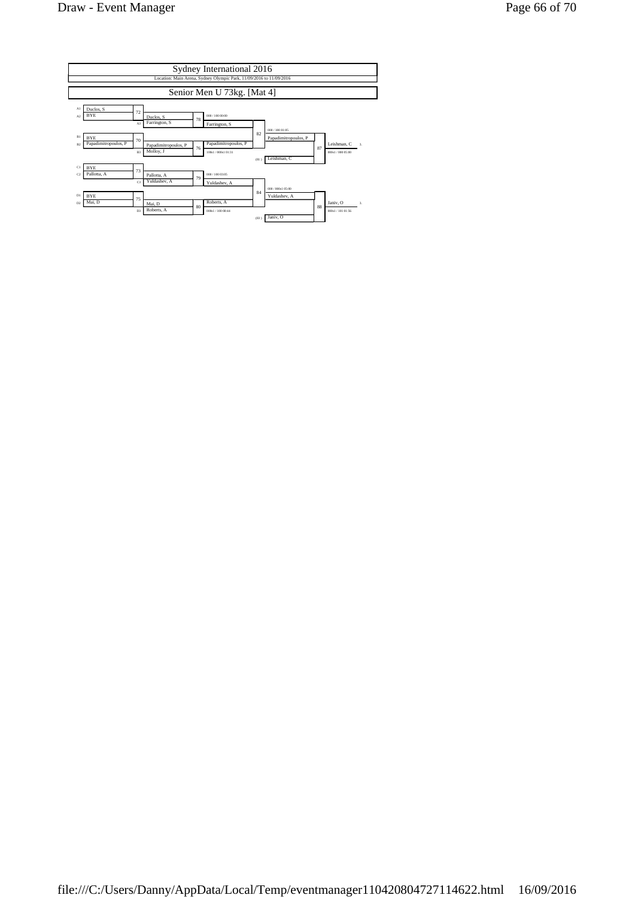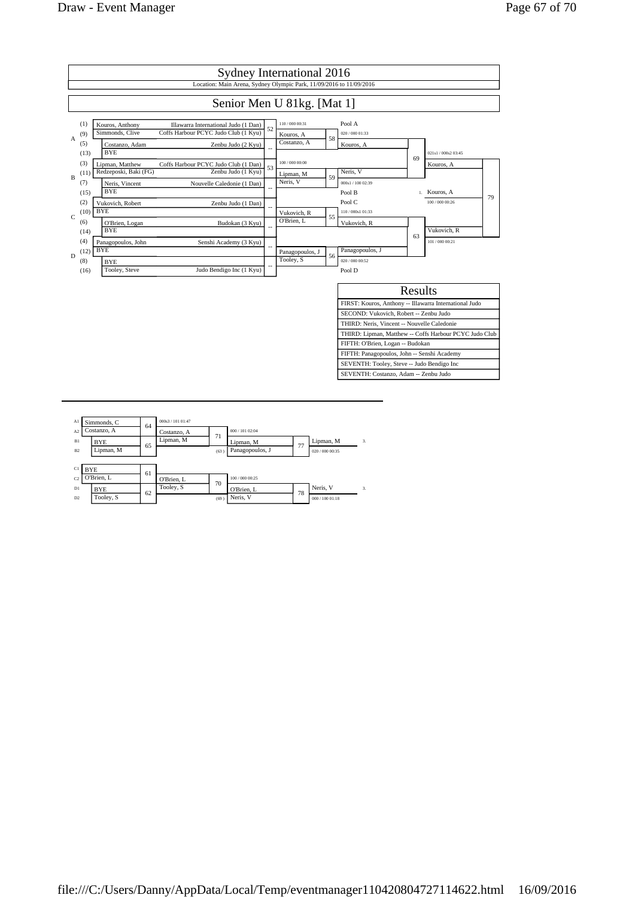

| A1             | Simmonds, C | 64 | 000s3 / 101 01:47 |      |                 |    |                 |              |
|----------------|-------------|----|-------------------|------|-----------------|----|-----------------|--------------|
| A <sub>2</sub> | Costanzo, A |    | Costanzo, A       | 71   | 000 / 101 02:04 |    |                 |              |
| B1             | <b>BYE</b>  | 65 | Lipman, M         |      | Lipman, M       | 77 | Lipman, M       | 3.           |
| B2             | Lipman, M   |    |                   | (63) | Panagopoulos, J |    | 020 / 000 00:35 |              |
|                |             |    |                   |      |                 |    |                 |              |
| C1             | <b>BYE</b>  | 61 |                   |      |                 |    |                 |              |
| C <sub>2</sub> | O'Brien, L  |    | O'Brien, L        | 70   | 100 / 000 00:25 |    |                 |              |
| D1             | <b>BYE</b>  | 62 | Tooley, S         |      | O'Brien, L      | 78 | Neris, V        | $\mathbf{3}$ |
| D <sub>2</sub> | Tooley, S   |    |                   | (69) | Neris, V        |    | 000 / 10001:18  |              |
|                |             |    |                   |      |                 |    |                 |              |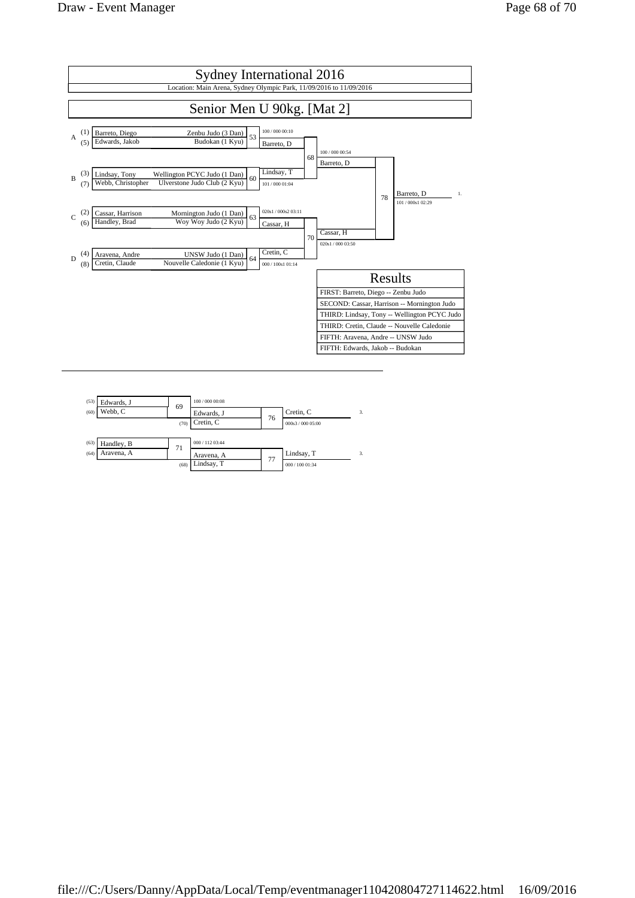

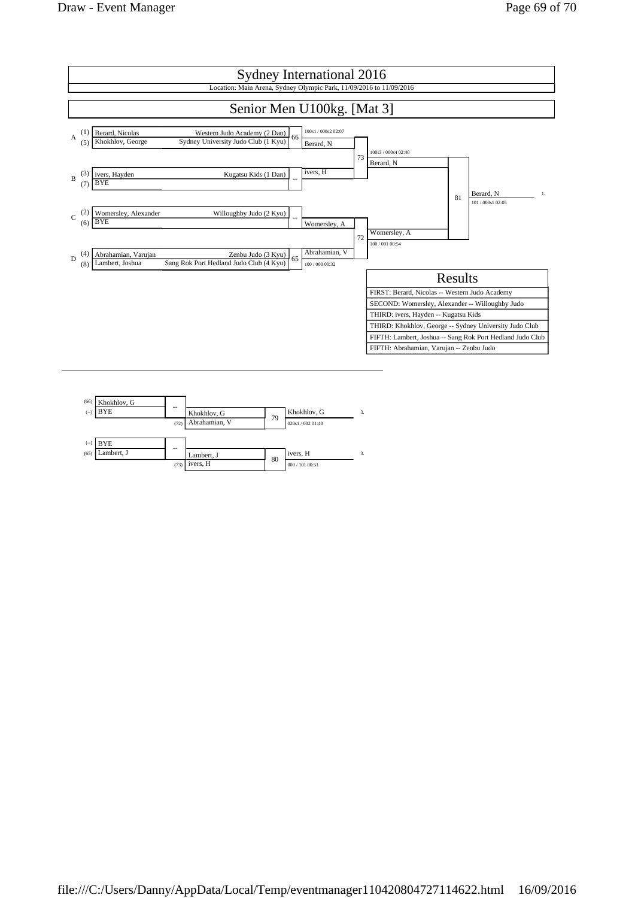